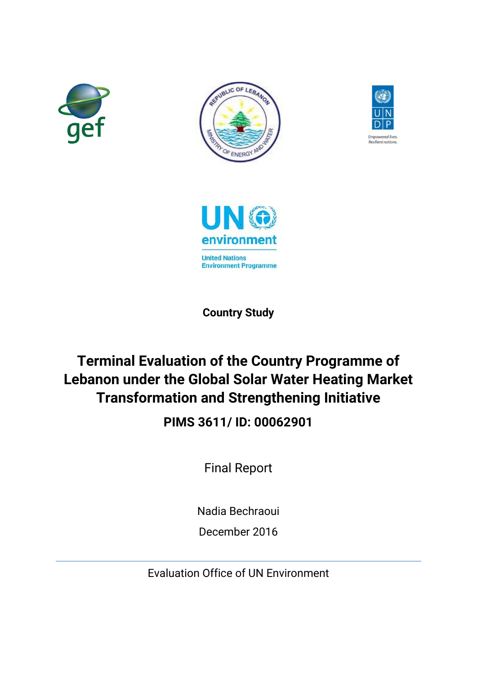







**Country Study**

# **Terminal Evaluation of the Country Programme of Lebanon under the Global Solar Water Heating Market Transformation and Strengthening Initiative**

# **PIMS 3611/ ID: 00062901**

Final Report

Nadia Bechraoui

December 2016

Evaluation Office of UN Environment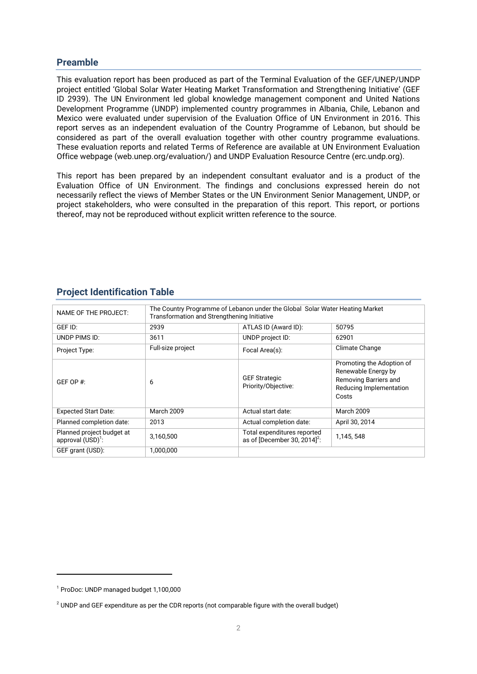## **Preamble**

This evaluation report has been produced as part of the Terminal Evaluation of the GEF/UNEP/UNDP project entitled 'Global Solar Water Heating Market Transformation and Strengthening Initiative' (GEF ID 2939). The UN Environment led global knowledge management component and United Nations Development Programme (UNDP) implemented country programmes in Albania, Chile, Lebanon and Mexico were evaluated under supervision of the Evaluation Office of UN Environment in 2016. This report serves as an independent evaluation of the Country Programme of Lebanon, but should be considered as part of the overall evaluation together with other country programme evaluations. These evaluation reports and related Terms of Reference are available at UN Environment Evaluation Office webpage (web.unep.org/evaluation/) and UNDP Evaluation Resource Centre (erc.undp.org).

This report has been prepared by an independent consultant evaluator and is a product of the Evaluation Office of UN Environment. The findings and conclusions expressed herein do not necessarily reflect the views of Member States or the UN Environment Senior Management, UNDP, or project stakeholders, who were consulted in the preparation of this report. This report, or portions thereof, may not be reproduced without explicit written reference to the source.

## **Project Identification Table**

| NAME OF THE PROJECT:                                       | The Country Programme of Lebanon under the Global Solar Water Heating Market<br>Transformation and Strengthening Initiative |                                                                         |                                                                                                               |
|------------------------------------------------------------|-----------------------------------------------------------------------------------------------------------------------------|-------------------------------------------------------------------------|---------------------------------------------------------------------------------------------------------------|
| GEF ID:                                                    | 2939                                                                                                                        | ATLAS ID (Award ID):                                                    | 50795                                                                                                         |
| UNDP PIMS ID:                                              | 3611                                                                                                                        | UNDP project ID:                                                        | 62901                                                                                                         |
| Project Type:                                              | Full-size project                                                                                                           | Focal Area(s):                                                          | Climate Change                                                                                                |
| GEF OP $#$ :                                               | 6                                                                                                                           | <b>GEF Strategic</b><br>Priority/Objective:                             | Promoting the Adoption of<br>Renewable Energy by<br>Removing Barriers and<br>Reducing Implementation<br>Costs |
| <b>Expected Start Date:</b>                                | <b>March 2009</b>                                                                                                           | Actual start date:                                                      | March 2009                                                                                                    |
| Planned completion date:                                   | 2013                                                                                                                        | Actual completion date:                                                 | April 30, 2014                                                                                                |
| Planned project budget at<br>approval (USD) <sup>1</sup> : | 3,160,500                                                                                                                   | Total expenditures reported<br>as of [December 30, 2014] <sup>2</sup> : | 1,145,548                                                                                                     |
| GEF grant (USD):                                           | 1,000,000                                                                                                                   |                                                                         |                                                                                                               |

**.** 

<sup>1</sup> ProDoc: UNDP managed budget 1,100,000

 $^2$  UNDP and GEF expenditure as per the CDR reports (not comparable figure with the overall budget)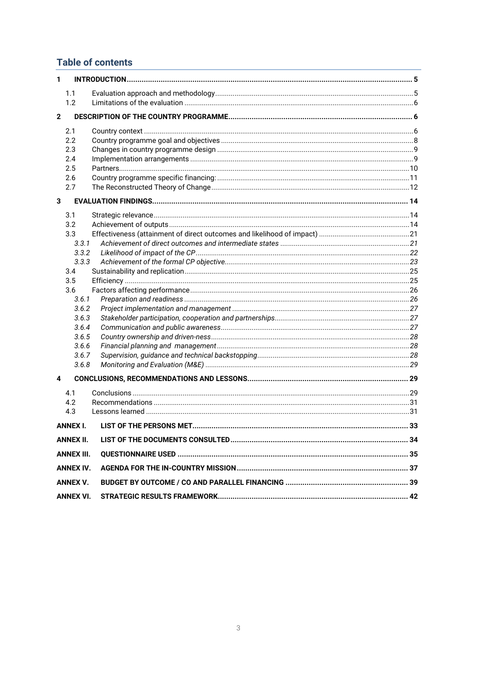# **Table of contents**

| 1            |                   |  |
|--------------|-------------------|--|
|              | 1.1               |  |
|              | 1.2               |  |
| $\mathbf{2}$ |                   |  |
|              | 2.1               |  |
|              | 2.2               |  |
|              | 2.3               |  |
|              | 2.4               |  |
|              | 2.5               |  |
|              | 2.6               |  |
|              | 2.7               |  |
| 3            |                   |  |
|              | 3.1               |  |
|              | 3.2               |  |
|              | 3.3               |  |
|              | 3.3.1             |  |
|              | 3.3.2             |  |
|              | 3.3.3             |  |
|              | 3.4               |  |
|              | 3.5               |  |
|              | 3.6               |  |
|              | 3.6.1             |  |
|              | 3.6.2             |  |
|              | 3.6.3             |  |
|              | 3.6.4             |  |
|              | 3.6.5             |  |
|              | 3.6.6             |  |
|              | 3.6.7             |  |
|              | 3.6.8             |  |
| 4            |                   |  |
|              | 4.1               |  |
|              | 4.2               |  |
|              | 4.3               |  |
|              | <b>ANNEX I.</b>   |  |
|              | <b>ANNEX II.</b>  |  |
|              | <b>ANNEX III.</b> |  |
|              | <b>ANNEX IV.</b>  |  |
|              | <b>ANNEX V.</b>   |  |
|              | <b>ANNEX VI.</b>  |  |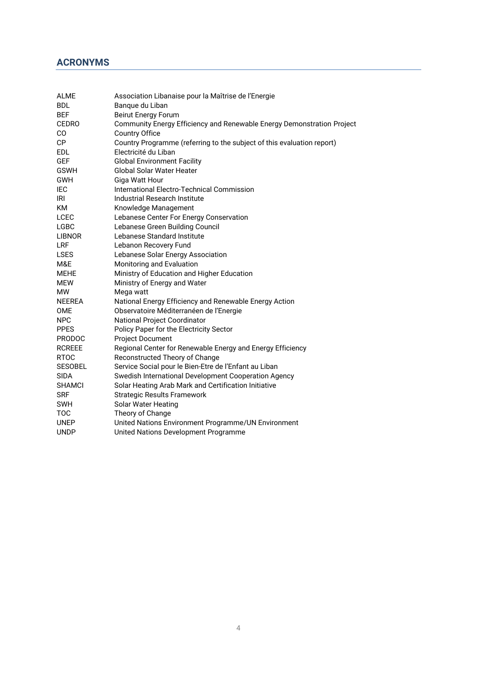# **ACRONYMS**

| <b>ALME</b>    | Association Libanaise pour la Maîtrise de l'Energie                    |
|----------------|------------------------------------------------------------------------|
| <b>BDL</b>     | Banque du Liban                                                        |
| <b>BEF</b>     | <b>Beirut Energy Forum</b>                                             |
| <b>CEDRO</b>   | Community Energy Efficiency and Renewable Energy Demonstration Project |
| CO             | <b>Country Office</b>                                                  |
| CP             | Country Programme (referring to the subject of this evaluation report) |
| <b>EDL</b>     | Electricité du Liban                                                   |
| <b>GEF</b>     | <b>Global Environment Facility</b>                                     |
| <b>GSWH</b>    | <b>Global Solar Water Heater</b>                                       |
| <b>GWH</b>     | Giga Watt Hour                                                         |
| <b>IEC</b>     | International Electro-Technical Commission                             |
| IRI            | Industrial Research Institute                                          |
| <b>KM</b>      | Knowledge Management                                                   |
| <b>LCEC</b>    | Lebanese Center For Energy Conservation                                |
| LGBC           | Lebanese Green Building Council                                        |
| LIBNOR         | Lebanese Standard Institute                                            |
| <b>LRF</b>     | Lebanon Recovery Fund                                                  |
| <b>LSES</b>    | Lebanese Solar Energy Association                                      |
| M&E            | Monitoring and Evaluation                                              |
| <b>MEHE</b>    | Ministry of Education and Higher Education                             |
| MEW            | Ministry of Energy and Water                                           |
| МW             | Mega watt                                                              |
| NEEREA         | National Energy Efficiency and Renewable Energy Action                 |
| <b>OME</b>     | Observatoire Méditerranéen de l'Energie                                |
| <b>NPC</b>     | National Project Coordinator                                           |
| <b>PPES</b>    | Policy Paper for the Electricity Sector                                |
| <b>PRODOC</b>  | <b>Project Document</b>                                                |
| <b>RCREEE</b>  | Regional Center for Renewable Energy and Energy Efficiency             |
| <b>RTOC</b>    | Reconstructed Theory of Change                                         |
| <b>SESOBEL</b> | Service Social pour le Bien-Etre de l'Enfant au Liban                  |
| <b>SIDA</b>    | Swedish International Development Cooperation Agency                   |
| <b>SHAMCI</b>  | Solar Heating Arab Mark and Certification Initiative                   |
| <b>SRF</b>     | <b>Strategic Results Framework</b>                                     |
| <b>SWH</b>     | <b>Solar Water Heating</b>                                             |
| <b>TOC</b>     | Theory of Change                                                       |
| <b>UNEP</b>    | United Nations Environment Programme/UN Environment                    |
| <b>UNDP</b>    | United Nations Development Programme                                   |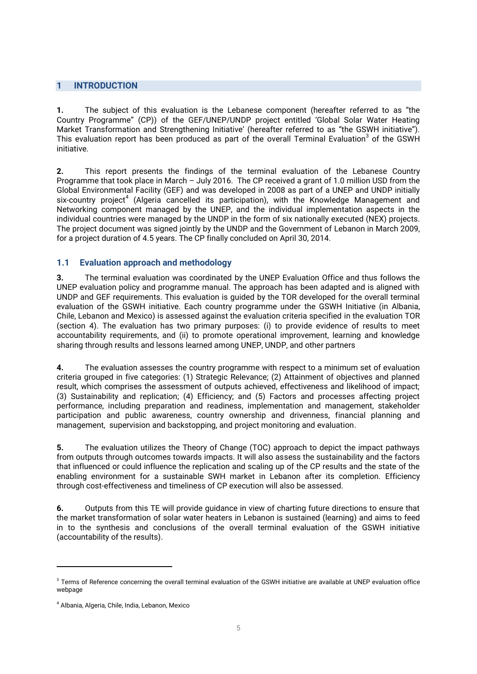## <span id="page-4-0"></span>**1 INTRODUCTION**

**1.** The subject of this evaluation is the Lebanese component (hereafter referred to as "the Country Programme" (CP)) of the GEF/UNEP/UNDP project entitled 'Global Solar Water Heating Market Transformation and Strengthening Initiative' (hereafter referred to as "the GSWH initiative"). This evaluation report has been produced as part of the overall Terminal Evaluation<sup>3</sup> of the GSWH initiative.

**2.** This report presents the findings of the terminal evaluation of the Lebanese Country Programme that took place in March – July 2016. The CP received a grant of 1.0 million USD from the Global Environmental Facility (GEF) and was developed in 2008 as part of a UNEP and UNDP initially six-country project<sup>4</sup> (Algeria cancelled its participation), with the Knowledge Management and Networking component managed by the UNEP, and the individual implementation aspects in the individual countries were managed by the UNDP in the form of six nationally executed (NEX) projects. The project document was signed jointly by the UNDP and the Government of Lebanon in March 2009, for a project duration of 4.5 years. The CP finally concluded on April 30, 2014.

## <span id="page-4-1"></span>**1.1 Evaluation approach and methodology**

**3.** The terminal evaluation was coordinated by the UNEP Evaluation Office and thus follows the UNEP evaluation policy and programme manual. The approach has been adapted and is aligned with UNDP and GEF requirements. This evaluation is guided by the TOR developed for the overall terminal evaluation of the GSWH initiative. Each country programme under the GSWH Initiative (in Albania, Chile, Lebanon and Mexico) is assessed against the evaluation criteria specified in the evaluation TOR (section 4). The evaluation has two primary purposes: (i) to provide evidence of results to meet accountability requirements, and (ii) to promote operational improvement, learning and knowledge sharing through results and lessons learned among UNEP, UNDP, and other partners

**4.** The evaluation assesses the country programme with respect to a minimum set of evaluation criteria grouped in five categories: (1) Strategic Relevance; (2) Attainment of objectives and planned result, which comprises the assessment of outputs achieved, effectiveness and likelihood of impact; (3) Sustainability and replication; (4) Efficiency; and (5) Factors and processes affecting project performance, including preparation and readiness, implementation and management, stakeholder participation and public awareness, country ownership and drivenness, financial planning and management, supervision and backstopping, and project monitoring and evaluation.

**5.** The evaluation utilizes the Theory of Change (TOC) approach to depict the impact pathways from outputs through outcomes towards impacts. It will also assess the sustainability and the factors that influenced or could influence the replication and scaling up of the CP results and the state of the enabling environment for a sustainable SWH market in Lebanon after its completion. Efficiency through cost-effectiveness and timeliness of CP execution will also be assessed.

**6.** Outputs from this TE will provide guidance in view of charting future directions to ensure that the market transformation of solar water heaters in Lebanon is sustained (learning) and aims to feed in to the synthesis and conclusions of the overall terminal evaluation of the GSWH initiative (accountability of the results).

**.** 

 $3$  Terms of Reference concerning the overall terminal evaluation of the GSWH initiative are available at UNEP evaluation office webpage

<sup>4</sup> Albania, Algeria, Chile, India, Lebanon, Mexico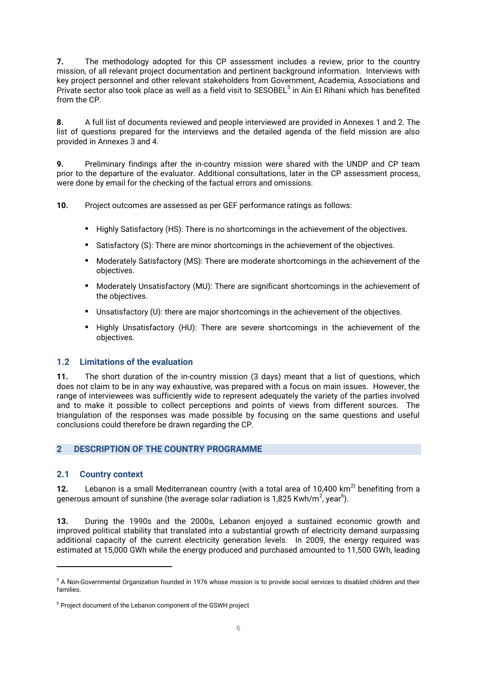**7.** The methodology adopted for this CP assessment includes a review, prior to the country mission, of all relevant project documentation and pertinent background information. Interviews with key project personnel and other relevant stakeholders from Government, Academia, Associations and Private sector also took place as well as a field visit to SESOBEL<sup>5</sup> in Ain El Rihani which has benefited from the CP.

**8.** A full list of documents reviewed and people interviewed are provided in Annexes 1 and 2. The list of questions prepared for the interviews and the detailed agenda of the field mission are also provided in Annexes 3 and 4.

**9.** Preliminary findings after the in-country mission were shared with the UNDP and CP team prior to the departure of the evaluator. Additional consultations, later in the CP assessment process, were done by email for the checking of the factual errors and omissions.

**10.** Project outcomes are assessed as per GEF performance ratings as follows:

- **•** Highly Satisfactory (HS): There is no shortcomings in the achievement of the objectives.
- **•** Satisfactory (S): There are minor shortcomings in the achievement of the objectives.
- **•** Moderately Satisfactory (MS): There are moderate shortcomings in the achievement of the objectives.
- **•** Moderately Unsatisfactory (MU): There are significant shortcomings in the achievement of the objectives.
- **•** Unsatisfactory (U): there are major shortcomings in the achievement of the objectives.
- **•** Highly Unsatisfactory (HU): There are severe shortcomings in the achievement of the objectives.

## <span id="page-5-0"></span>**1.2 Limitations of the evaluation**

**11.** The short duration of the in-country mission (3 days) meant that a list of questions, which does not claim to be in any way exhaustive, was prepared with a focus on main issues. However, the range of interviewees was sufficiently wide to represent adequately the variety of the parties involved and to make it possible to collect perceptions and points of views from different sources. The triangulation of the responses was made possible by focusing on the same questions and useful conclusions could therefore be drawn regarding the CP.

#### <span id="page-5-1"></span>**2 DESCRIPTION OF THE COUNTRY PROGRAMME**

#### <span id="page-5-2"></span>**2.1 Country context**

**.** 

**12.** Lebanon is a small Mediterranean country (with a total area of 10,400 km<sup>2)</sup> benefiting from a generous amount of sunshine (the average solar radiation is 1,825 Kwh/m<sup>2</sup>, year $^6$ ).

**13.** During the 1990s and the 2000s, Lebanon enjoyed a sustained economic growth and improved political stability that translated into a substantial growth of electricity demand surpassing additional capacity of the current electricity generation levels. In 2009, the energy required was estimated at 15,000 GWh while the energy produced and purchased amounted to 11,500 GWh, leading

<sup>&</sup>lt;sup>5</sup> A Non-Governmental Organization founded in 1976 whose mission is to provide social services to disabled children and their families.

<sup>&</sup>lt;sup>6</sup> Project document of the Lebanon component of the GSWH project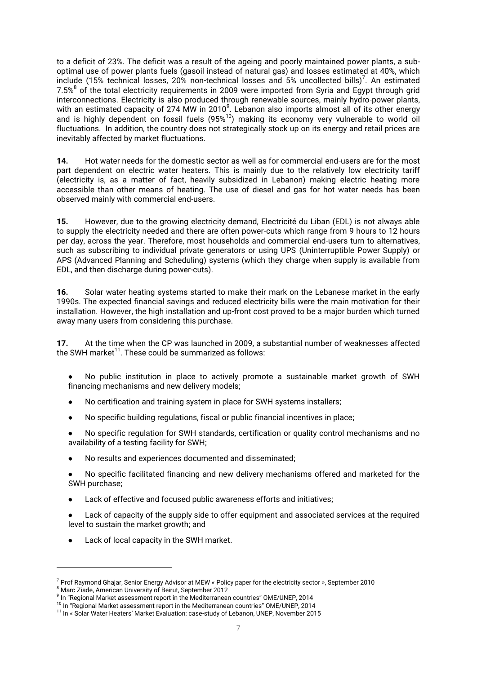to a deficit of 23%. The deficit was a result of the ageing and poorly maintained power plants, a suboptimal use of power plants fuels (gasoil instead of natural gas) and losses estimated at 40%, which include (15% technical losses, 20% non-technical losses and 5% uncollected bills)<sup>7</sup>. An estimated 7.5%<sup>8</sup> of the total electricity requirements in 2009 were imported from Syria and Egypt through grid interconnections. Electricity is also produced through renewable sources, mainly hydro-power plants, with an estimated capacity of 274 MW in 2010 $^9$ . Lebanon also imports almost all of its other energy and is highly dependent on fossil fuels (95% $^{10}$ ) making its economy very vulnerable to world oil fluctuations. In addition, the country does not strategically stock up on its energy and retail prices are inevitably affected by market fluctuations.

**14.** Hot water needs for the domestic sector as well as for commercial end-users are for the most part dependent on electric water heaters. This is mainly due to the relatively low electricity tariff (electricity is, as a matter of fact, heavily subsidized in Lebanon) making electric heating more accessible than other means of heating. The use of diesel and gas for hot water needs has been observed mainly with commercial end-users.

**15.** However, due to the growing electricity demand, Electricité du Liban (EDL) is not always able to supply the electricity needed and there are often power-cuts which range from 9 hours to 12 hours per day, across the year. Therefore, most households and commercial end-users turn to alternatives, such as subscribing to individual private generators or using UPS (Uninterruptible Power Supply) or APS (Advanced Planning and Scheduling) systems (which they charge when supply is available from EDL, and then discharge during power-cuts).

**16.** Solar water heating systems started to make their mark on the Lebanese market in the early 1990s. The expected financial savings and reduced electricity bills were the main motivation for their installation. However, the high installation and up-front cost proved to be a major burden which turned away many users from considering this purchase.

**17.** At the time when the CP was launched in 2009, a substantial number of weaknesses affected the SWH market<sup>11</sup>. These could be summarized as follows:

- No public institution in place to actively promote a sustainable market growth of SWH financing mechanisms and new delivery models;
- No certification and training system in place for SWH systems installers;
- No specific building regulations, fiscal or public financial incentives in place;
- No specific regulation for SWH standards, certification or quality control mechanisms and no availability of a testing facility for SWH;
- No results and experiences documented and disseminated;
- No specific facilitated financing and new delivery mechanisms offered and marketed for the SWH purchase;
- Lack of effective and focused public awareness efforts and initiatives;
- Lack of capacity of the supply side to offer equipment and associated services at the required level to sustain the market growth; and
- Lack of local capacity in the SWH market.

1

 $^7$  Prof Raymond Ghajar, Senior Energy Advisor at MEW « Policy paper for the electricity sector », September 2010 <sup>8</sup> Marc Ziade, American University of Beirut, September 2012

 $^9$  In "Regional Market assessment report in the Mediterranean countries" OME/UNEP, 2014 <sup>10</sup> In "Regional Market assessment report in the Mediterranean countries" OME/UNEP, 2014

<sup>&</sup>lt;sup>11</sup> In « Solar Water Heaters' Market Evaluation: case-study of Lebanon, UNEP, November 2015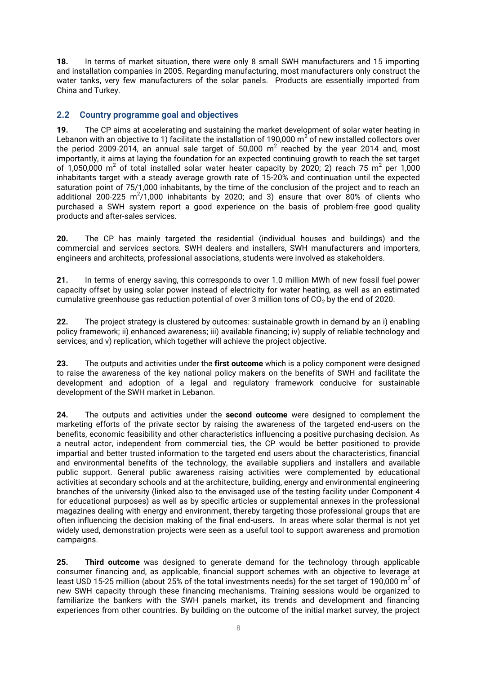**18.** In terms of market situation, there were only 8 small SWH manufacturers and 15 importing and installation companies in 2005. Regarding manufacturing, most manufacturers only construct the water tanks, very few manufacturers of the solar panels. Products are essentially imported from China and Turkey.

## <span id="page-7-0"></span>**2.2 Country programme goal and objectives**

**19.** The CP aims at accelerating and sustaining the market development of solar water heating in Lebanon with an objective to 1) facilitate the installation of 190,000  $m^2$  of new installed collectors over the period 2009-2014, an annual sale target of 50,000  $m^2$  reached by the year 2014 and, most importantly, it aims at laying the foundation for an expected continuing growth to reach the set target of 1,050,000 m<sup>2</sup> of total installed solar water heater capacity by 2020; 2) reach 75 m<sup>2</sup> per 1,000 inhabitants target with a steady average growth rate of 15-20% and continuation until the expected saturation point of 75/1,000 inhabitants, by the time of the conclusion of the project and to reach an additional 200-225  $m^2/1,000$  inhabitants by 2020; and 3) ensure that over 80% of clients who purchased a SWH system report a good experience on the basis of problem-free good quality products and after-sales services.

**20.** The CP has mainly targeted the residential (individual houses and buildings) and the commercial and services sectors. SWH dealers and installers, SWH manufacturers and importers, engineers and architects, professional associations, students were involved as stakeholders.

**21.** In terms of energy saving, this corresponds to over 1.0 million MWh of new fossil fuel power capacity offset by using solar power instead of electricity for water heating, as well as an estimated cumulative greenhouse gas reduction potential of over 3 million tons of  $CO<sub>2</sub>$  by the end of 2020.

**22.** The project strategy is clustered by outcomes: sustainable growth in demand by an i) enabling policy framework; ii) enhanced awareness; iii) available financing; iv) supply of reliable technology and services; and v) replication, which together will achieve the project objective.

**23.** The outputs and activities under the **first outcome** which is a policy component were designed to raise the awareness of the key national policy makers on the benefits of SWH and facilitate the development and adoption of a legal and regulatory framework conducive for sustainable development of the SWH market in Lebanon.

**24.** The outputs and activities under the **second outcome** were designed to complement the marketing efforts of the private sector by raising the awareness of the targeted end-users on the benefits, economic feasibility and other characteristics influencing a positive purchasing decision. As a neutral actor, independent from commercial ties, the CP would be better positioned to provide impartial and better trusted information to the targeted end users about the characteristics, financial and environmental benefits of the technology, the available suppliers and installers and available public support. General public awareness raising activities were complemented by educational activities at secondary schools and at the architecture, building, energy and environmental engineering branches of the university (linked also to the envisaged use of the testing facility under Component 4 for educational purposes) as well as by specific articles or supplemental annexes in the professional magazines dealing with energy and environment, thereby targeting those professional groups that are often influencing the decision making of the final end-users. In areas where solar thermal is not yet widely used, demonstration projects were seen as a useful tool to support awareness and promotion campaigns.

**25. Third outcome** was designed to generate demand for the technology through applicable consumer financing and, as applicable, financial support schemes with an objective to leverage at least USD 15-25 million (about 25% of the total investments needs) for the set target of 190,000  $\text{m}^2$  of new SWH capacity through these financing mechanisms. Training sessions would be organized to familiarize the bankers with the SWH panels market, its trends and development and financing experiences from other countries. By building on the outcome of the initial market survey, the project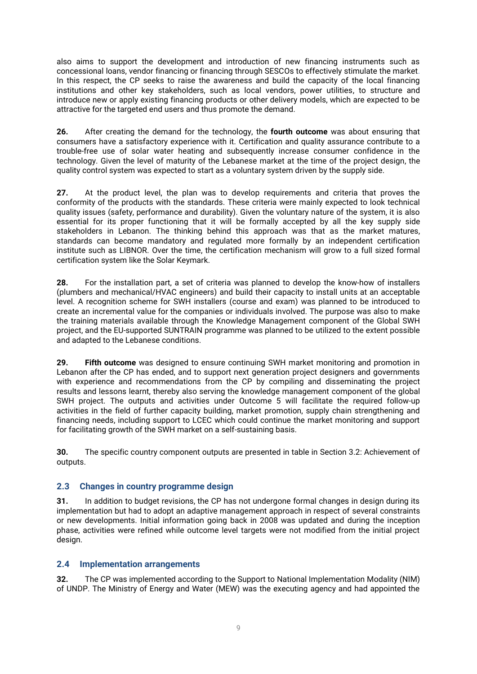also aims to support the development and introduction of new financing instruments such as concessional loans, vendor financing or financing through SESCOs to effectively stimulate the market. In this respect, the CP seeks to raise the awareness and build the capacity of the local financing institutions and other key stakeholders, such as local vendors, power utilities, to structure and introduce new or apply existing financing products or other delivery models, which are expected to be attractive for the targeted end users and thus promote the demand.

**26.** After creating the demand for the technology, the **fourth outcome** was about ensuring that consumers have a satisfactory experience with it. Certification and quality assurance contribute to a trouble-free use of solar water heating and subsequently increase consumer confidence in the technology. Given the level of maturity of the Lebanese market at the time of the project design, the quality control system was expected to start as a voluntary system driven by the supply side.

**27.** At the product level, the plan was to develop requirements and criteria that proves the conformity of the products with the standards. These criteria were mainly expected to look technical quality issues (safety, performance and durability). Given the voluntary nature of the system, it is also essential for its proper functioning that it will be formally accepted by all the key supply side stakeholders in Lebanon. The thinking behind this approach was that as the market matures, standards can become mandatory and regulated more formally by an independent certification institute such as LIBNOR. Over the time, the certification mechanism will grow to a full sized formal certification system like the Solar Keymark.

**28.** For the installation part, a set of criteria was planned to develop the know-how of installers (plumbers and mechanical/HVAC engineers) and build their capacity to install units at an acceptable level. A recognition scheme for SWH installers (course and exam) was planned to be introduced to create an incremental value for the companies or individuals involved. The purpose was also to make the training materials available through the Knowledge Management component of the Global SWH project, and the EU-supported SUNTRAIN programme was planned to be utilized to the extent possible and adapted to the Lebanese conditions.

**29. Fifth outcome** was designed to ensure continuing SWH market monitoring and promotion in Lebanon after the CP has ended, and to support next generation project designers and governments with experience and recommendations from the CP by compiling and disseminating the project results and lessons learnt, thereby also serving the knowledge management component of the global SWH project. The outputs and activities under Outcome 5 will facilitate the required follow-up activities in the field of further capacity building, market promotion, supply chain strengthening and financing needs, including support to LCEC which could continue the market monitoring and support for facilitating growth of the SWH market on a self-sustaining basis.

**30.** The specific country component outputs are presented in table in Section 3.2: Achievement of outputs.

## <span id="page-8-0"></span>**2.3 Changes in country programme design**

**31.** In addition to budget revisions, the CP has not undergone formal changes in design during its implementation but had to adopt an adaptive management approach in respect of several constraints or new developments. Initial information going back in 2008 was updated and during the inception phase, activities were refined while outcome level targets were not modified from the initial project design.

## <span id="page-8-1"></span>**2.4 Implementation arrangements**

**32.** The CP was implemented according to the Support to National Implementation Modality (NIM) of UNDP. The Ministry of Energy and Water (MEW) was the executing agency and had appointed the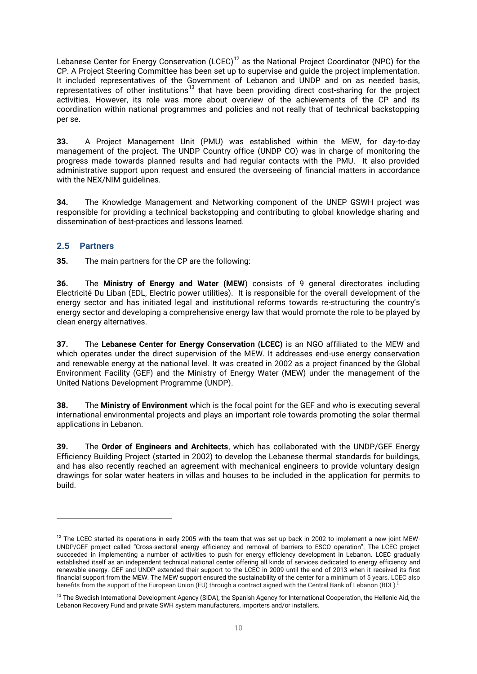Lebanese Center for Energy Conservation (LCEC)<sup>12</sup> as the National Project Coordinator (NPC) for the CP. A Project Steering Committee has been set up to supervise and guide the project implementation. It included representatives of the Government of Lebanon and UNDP and on as needed basis, representatives of other institutions<sup>13</sup> that have been providing direct cost-sharing for the project activities. However, its role was more about overview of the achievements of the CP and its coordination within national programmes and policies and not really that of technical backstopping per se.

**33.** A Project Management Unit (PMU) was established within the MEW, for day-to-day management of the project. The UNDP Country office (UNDP CO) was in charge of monitoring the progress made towards planned results and had regular contacts with the PMU. It also provided administrative support upon request and ensured the overseeing of financial matters in accordance with the NEX/NIM guidelines.

**34.** The Knowledge Management and Networking component of the UNEP GSWH project was responsible for providing a technical backstopping and contributing to global knowledge sharing and dissemination of best-practices and lessons learned.

## <span id="page-9-0"></span>**2.5 Partners**

**.** 

**35.** The main partners for the CP are the following:

**36.** The **Ministry of Energy and Water (MEW**) consists of 9 general directorates including Electricité Du Liban (EDL, Electric power utilities). It is responsible for the overall development of the energy sector and has initiated legal and institutional reforms towards re-structuring the country's energy sector and developing a comprehensive energy law that would promote the role to be played by clean energy alternatives.

**37.** The **Lebanese Center for Energy Conservation (LCEC)** is an NGO affiliated to the MEW and which operates under the direct supervision of the MEW. It addresses end-use energy conservation and renewable energy at the national level. It was created in 2002 as a project financed by the Global Environment Facility (GEF) and the Ministry of Energy Water (MEW) under the management of the United Nations Development Programme (UNDP).

**38.** The **Ministry of Environment** which is the focal point for the GEF and who is executing several international environmental projects and plays an important role towards promoting the solar thermal applications in Lebanon.

**39.** The **Order of Engineers and Architects**, which has collaborated with the UNDP/GEF Energy Efficiency Building Project (started in 2002) to develop the Lebanese thermal standards for buildings, and has also recently reached an agreement with mechanical engineers to provide voluntary design drawings for solar water heaters in villas and houses to be included in the application for permits to build.

 $12$  The LCEC started its operations in early 2005 with the team that was set up back in 2002 to implement a new joint MEW-UNDP/GEF project called "Cross-sectoral energy efficiency and removal of barriers to ESCO operation". The LCEC project succeeded in implementing a number of activities to push for energy efficiency development in Lebanon. LCEC gradually established itself as an independent technical national center offering all kinds of services dedicated to energy efficiency and renewable energy. GEF and UNDP extended their support to the LCEC in 2009 until the end of 2013 when it received its first financial support from the MEW. The MEW support ensured the sustainability of the center for a minimum of 5 years. LCEC also benefits from the support of the European Union (EU) through a contract signed with the Central Bank of Lebanon (BDL)[.](https://en.wikipedia.org/wiki/Lebanese_Center_for_Energy_Conservation#cite_note-intro-1)

<sup>&</sup>lt;sup>13</sup> The Swedish International Development Agency (SIDA), the Spanish Agency for International Cooperation, the Hellenic Aid, the Lebanon Recovery Fund and private SWH system manufacturers, importers and/or installers.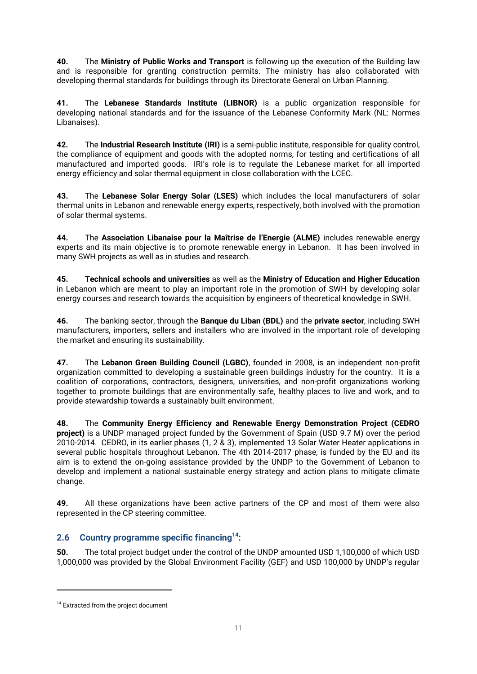**40.** The **Ministry of Public Works and Transport** is following up the execution of the Building law and is responsible for granting construction permits. The ministry has also collaborated with developing thermal standards for buildings through its Directorate General on Urban Planning.

**41.** The **Lebanese Standards Institute (LIBNOR)** is a public organization responsible for developing national standards and for the issuance of the Lebanese Conformity Mark (NL: Normes Libanaises).

**42.** The **Industrial Research Institute (IRI)** is a semi-public institute, responsible for quality control, the compliance of equipment and goods with the adopted norms, for testing and certifications of all manufactured and imported goods. IRI's role is to regulate the Lebanese market for all imported energy efficiency and solar thermal equipment in close collaboration with the LCEC.

**43.** The **Lebanese Solar Energy Solar (LSES)** which includes the local manufacturers of solar thermal units in Lebanon and renewable energy experts, respectively, both involved with the promotion of solar thermal systems.

**44.** The **Association Libanaise pour la Maîtrise de l'Energie (ALME)** includes renewable energy experts and its main objective is to promote renewable energy in Lebanon. It has been involved in many SWH projects as well as in studies and research.

**45. Technical schools and universities** as well as the **Ministry of Education and Higher Education** in Lebanon which are meant to play an important role in the promotion of SWH by developing solar energy courses and research towards the acquisition by engineers of theoretical knowledge in SWH.

**46.** The banking sector, through the **Banque du Liban (BDL)** and the **private sector**, including SWH manufacturers, importers, sellers and installers who are involved in the important role of developing the market and ensuring its sustainability.

**47.** The **Lebanon Green Building Council (LGBC)**, founded in 2008, is an independent non-profit organization committed to developing a sustainable green buildings industry for the country. It is a coalition of corporations, contractors, designers, universities, and non-profit organizations working together to promote buildings that are environmentally safe, healthy places to live and work, and to provide stewardship towards a sustainably built environment.

**48.** The **Community Energy Efficiency and Renewable Energy Demonstration Project (CEDRO project)** is a UNDP managed project funded by the Government of Spain (USD 9.7 M) over the period 2010-2014. CEDRO, in its earlier phases (1, 2 & 3), implemented 13 Solar Water Heater applications in several public hospitals throughout Lebanon. The 4th 2014-2017 phase, is funded by the EU and its aim is to extend the on-going assistance provided by the UNDP to the Government of Lebanon to develop and implement a national sustainable energy strategy and action plans to mitigate climate change.

**49.** All these organizations have been active partners of the CP and most of them were also represented in the CP steering committee.

## <span id="page-10-0"></span>**2.6 Country programme specific financing<sup>14</sup>:**

**50.** The total project budget under the control of the UNDP amounted USD 1,100,000 of which USD 1,000,000 was provided by the Global Environment Facility (GEF) and USD 100,000 by UNDP's regular

**.** 

<sup>&</sup>lt;sup>14</sup> Extracted from the project document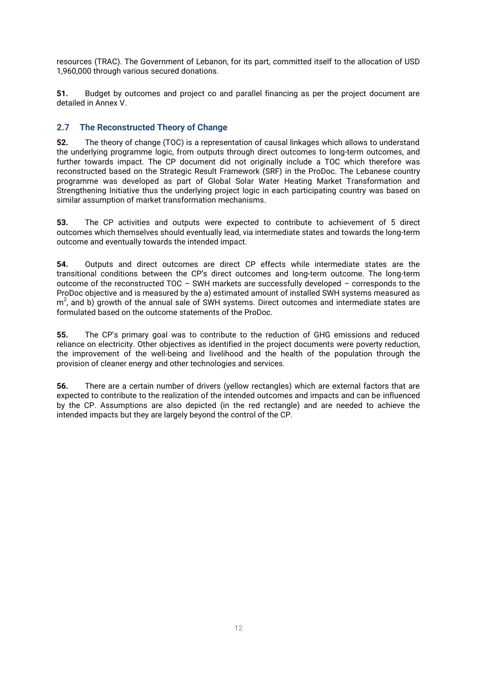resources (TRAC). The Government of Lebanon, for its part, committed itself to the allocation of USD 1,960,000 through various secured donations.

**51.** Budget by outcomes and project co and parallel financing as per the project document are detailed in Annex V.

## <span id="page-11-0"></span>**2.7 The Reconstructed Theory of Change**

**52.** The theory of change (TOC) is a representation of causal linkages which allows to understand the underlying programme logic, from outputs through direct outcomes to long-term outcomes, and further towards impact. The CP document did not originally include a TOC which therefore was reconstructed based on the Strategic Result Framework (SRF) in the ProDoc. The Lebanese country programme was developed as part of Global Solar Water Heating Market Transformation and Strengthening Initiative thus the underlying project logic in each participating country was based on similar assumption of market transformation mechanisms.

**53.** The CP activities and outputs were expected to contribute to achievement of 5 direct outcomes which themselves should eventually lead, via intermediate states and towards the long-term outcome and eventually towards the intended impact.

**54.** Outputs and direct outcomes are direct CP effects while intermediate states are the transitional conditions between the CP's direct outcomes and long-term outcome. The long-term outcome of the reconstructed TOC – SWH markets are successfully developed – corresponds to the ProDoc objective and is measured by the a) estimated amount of installed SWH systems measured as  $m<sup>2</sup>$ , and b) growth of the annual sale of SWH systems. Direct outcomes and intermediate states are formulated based on the outcome statements of the ProDoc.

**55.** The CP's primary goal was to contribute to the reduction of GHG emissions and reduced reliance on electricity. Other objectives as identified in the project documents were poverty reduction, the improvement of the well-being and livelihood and the health of the population through the provision of cleaner energy and other technologies and services.

**56.** There are a certain number of drivers (yellow rectangles) which are external factors that are expected to contribute to the realization of the intended outcomes and impacts and can be influenced by the CP. Assumptions are also depicted (in the red rectangle) and are needed to achieve the intended impacts but they are largely beyond the control of the CP.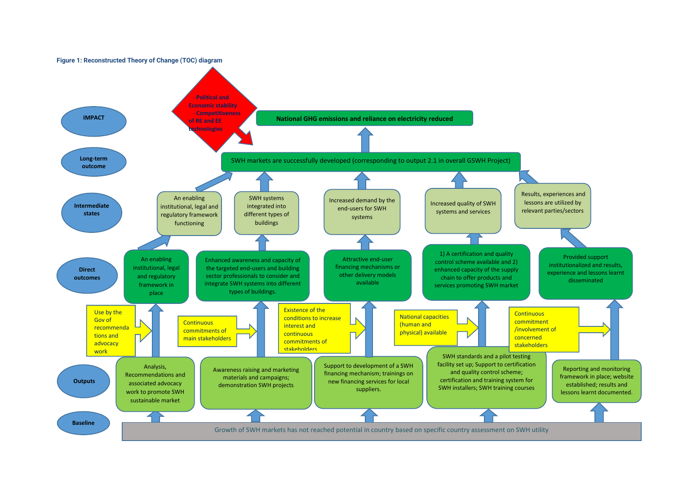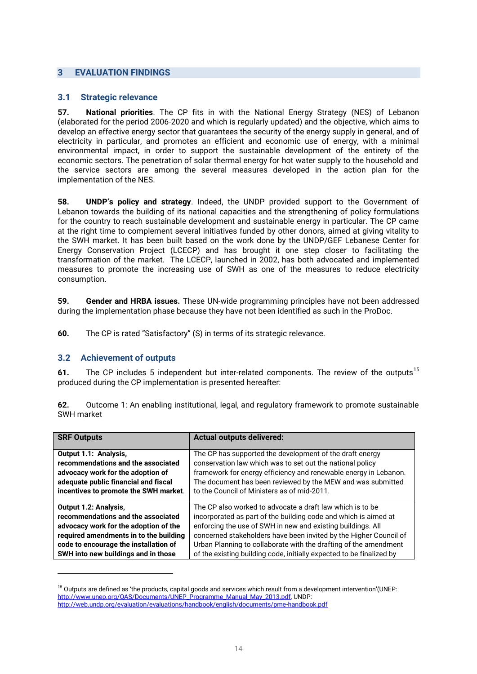## <span id="page-13-0"></span>**3 EVALUATION FINDINGS**

### <span id="page-13-1"></span>**3.1 Strategic relevance**

**57. National priorities**. The CP fits in with the National Energy Strategy (NES) of Lebanon (elaborated for the period 2006-2020 and which is regularly updated) and the objective, which aims to develop an effective energy sector that guarantees the security of the energy supply in general, and of electricity in particular, and promotes an efficient and economic use of energy, with a minimal environmental impact, in order to support the sustainable development of the entirety of the economic sectors. The penetration of solar thermal energy for hot water supply to the household and the service sectors are among the several measures developed in the action plan for the implementation of the NES.

**58. UNDP's policy and strategy**. Indeed, the UNDP provided support to the Government of Lebanon towards the building of its national capacities and the strengthening of policy formulations for the country to reach sustainable development and sustainable energy in particular. The CP came at the right time to complement several initiatives funded by other donors, aimed at giving vitality to the SWH market. It has been built based on the work done by the UNDP/GEF Lebanese Center for Energy Conservation Project (LCECP) and has brought it one step closer to facilitating the transformation of the market. The LCECP, launched in 2002, has both advocated and implemented measures to promote the increasing use of SWH as one of the measures to reduce electricity consumption.

**59. Gender and HRBA issues.** These UN-wide programming principles have not been addressed during the implementation phase because they have not been identified as such in the ProDoc.

**60.** The CP is rated "Satisfactory" (S) in terms of its strategic relevance.

## <span id="page-13-2"></span>**3.2 Achievement of outputs**

**.** 

61. The CP includes 5 independent but inter-related components. The review of the outputs<sup>15</sup> produced during the CP implementation is presented hereafter:

**62.** Outcome 1: An enabling institutional, legal, and regulatory framework to promote sustainable SWH market

| <b>SRF Outputs</b>                                                                                                                                                                      | <b>Actual outputs delivered:</b>                                                                                                                                                                                                                                                                                                     |
|-----------------------------------------------------------------------------------------------------------------------------------------------------------------------------------------|--------------------------------------------------------------------------------------------------------------------------------------------------------------------------------------------------------------------------------------------------------------------------------------------------------------------------------------|
| Output 1.1: Analysis,<br>recommendations and the associated<br>advocacy work for the adoption of<br>adequate public financial and fiscal                                                | The CP has supported the development of the draft energy<br>conservation law which was to set out the national policy<br>framework for energy efficiency and renewable energy in Lebanon.<br>The document has been reviewed by the MEW and was submitted                                                                             |
| incentives to promote the SWH market.                                                                                                                                                   | to the Council of Ministers as of mid-2011.                                                                                                                                                                                                                                                                                          |
| Output 1.2: Analysis,<br>recommendations and the associated<br>advocacy work for the adoption of the<br>required amendments in to the building<br>code to encourage the installation of | The CP also worked to advocate a draft law which is to be<br>incorporated as part of the building code and which is aimed at<br>enforcing the use of SWH in new and existing buildings. All<br>concerned stakeholders have been invited by the Higher Council of<br>Urban Planning to collaborate with the drafting of the amendment |
| SWH into new buildings and in those                                                                                                                                                     | of the existing building code, initially expected to be finalized by                                                                                                                                                                                                                                                                 |

 $15$  Outputs are defined as 'the products, capital goods and services which result from a development intervention'(UNEP: [http://www.unep.org/QAS/Documents/UNEP\\_Programme\\_Manual\\_May\\_2013.pdf,](http://www.unep.org/QAS/Documents/UNEP_Programme_Manual_May_2013.pdf) UNDP: <http://web.undp.org/evaluation/evaluations/handbook/english/documents/pme-handbook.pdf>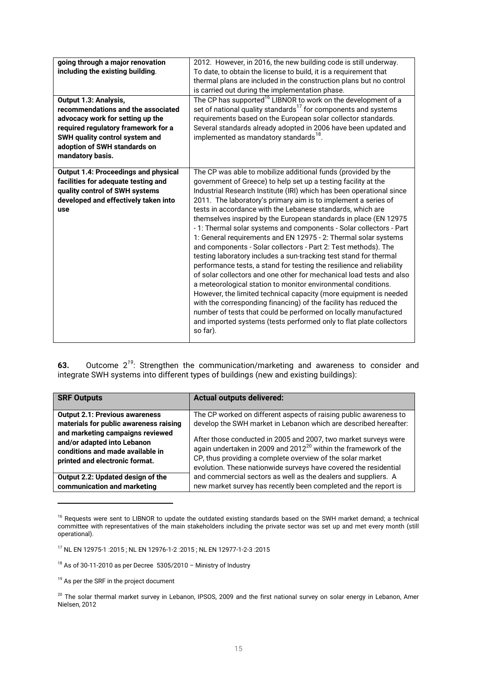| going through a major renovation                                                                                                                                    | 2012. However, in 2016, the new building code is still underway.                                                                                                                                                                                                                                                                                                                                                                                                                                                                                                                                                                                                                                                                                                                                                                                                                                                                                                                                                                                                                                                                                                                                               |
|---------------------------------------------------------------------------------------------------------------------------------------------------------------------|----------------------------------------------------------------------------------------------------------------------------------------------------------------------------------------------------------------------------------------------------------------------------------------------------------------------------------------------------------------------------------------------------------------------------------------------------------------------------------------------------------------------------------------------------------------------------------------------------------------------------------------------------------------------------------------------------------------------------------------------------------------------------------------------------------------------------------------------------------------------------------------------------------------------------------------------------------------------------------------------------------------------------------------------------------------------------------------------------------------------------------------------------------------------------------------------------------------|
| including the existing building.                                                                                                                                    | To date, to obtain the license to build, it is a requirement that                                                                                                                                                                                                                                                                                                                                                                                                                                                                                                                                                                                                                                                                                                                                                                                                                                                                                                                                                                                                                                                                                                                                              |
| <b>Output 1.3: Analysis,</b>                                                                                                                                        | thermal plans are included in the construction plans but no control                                                                                                                                                                                                                                                                                                                                                                                                                                                                                                                                                                                                                                                                                                                                                                                                                                                                                                                                                                                                                                                                                                                                            |
| recommendations and the associated                                                                                                                                  | is carried out during the implementation phase.                                                                                                                                                                                                                                                                                                                                                                                                                                                                                                                                                                                                                                                                                                                                                                                                                                                                                                                                                                                                                                                                                                                                                                |
| advocacy work for setting up the                                                                                                                                    | The CP has supported <sup>16</sup> LIBNOR to work on the development of a                                                                                                                                                                                                                                                                                                                                                                                                                                                                                                                                                                                                                                                                                                                                                                                                                                                                                                                                                                                                                                                                                                                                      |
| required regulatory framework for a                                                                                                                                 | set of national quality standards <sup>17</sup> for components and systems                                                                                                                                                                                                                                                                                                                                                                                                                                                                                                                                                                                                                                                                                                                                                                                                                                                                                                                                                                                                                                                                                                                                     |
| SWH quality control system and                                                                                                                                      | requirements based on the European solar collector standards.                                                                                                                                                                                                                                                                                                                                                                                                                                                                                                                                                                                                                                                                                                                                                                                                                                                                                                                                                                                                                                                                                                                                                  |
| adoption of SWH standards on                                                                                                                                        | Several standards already adopted in 2006 have been updated and                                                                                                                                                                                                                                                                                                                                                                                                                                                                                                                                                                                                                                                                                                                                                                                                                                                                                                                                                                                                                                                                                                                                                |
| mandatory basis.                                                                                                                                                    | implemented as mandatory standards <sup>18</sup> .                                                                                                                                                                                                                                                                                                                                                                                                                                                                                                                                                                                                                                                                                                                                                                                                                                                                                                                                                                                                                                                                                                                                                             |
| <b>Output 1.4: Proceedings and physical</b><br>facilities for adequate testing and<br>quality control of SWH systems<br>developed and effectively taken into<br>use | The CP was able to mobilize additional funds (provided by the<br>government of Greece) to help set up a testing facility at the<br>Industrial Research Institute (IRI) which has been operational since<br>2011. The laboratory's primary aim is to implement a series of<br>tests in accordance with the Lebanese standards, which are<br>themselves inspired by the European standards in place (EN 12975<br>- 1: Thermal solar systems and components - Solar collectors - Part<br>1: General requirements and EN 12975 - 2: Thermal solar systems<br>and components - Solar collectors - Part 2: Test methods). The<br>testing laboratory includes a sun-tracking test stand for thermal<br>performance tests, a stand for testing the resilience and reliability<br>of solar collectors and one other for mechanical load tests and also<br>a meteorological station to monitor environmental conditions.<br>However, the limited technical capacity (more equipment is needed<br>with the corresponding financing) of the facility has reduced the<br>number of tests that could be performed on locally manufactured<br>and imported systems (tests performed only to flat plate collectors<br>so far). |

**63.** Outcome 2*<sup>19</sup>*: Strengthen the communication/marketing and awareness to consider and integrate SWH systems into different types of buildings (new and existing buildings):

| <b>SRF Outputs</b>                                                                                                                    | <b>Actual outputs delivered:</b>                                                                                                                                                                                                                                                                                                                                                                                      |
|---------------------------------------------------------------------------------------------------------------------------------------|-----------------------------------------------------------------------------------------------------------------------------------------------------------------------------------------------------------------------------------------------------------------------------------------------------------------------------------------------------------------------------------------------------------------------|
| <b>Output 2.1: Previous awareness</b>                                                                                                 | The CP worked on different aspects of raising public awareness to                                                                                                                                                                                                                                                                                                                                                     |
| materials for public awareness raising                                                                                                | develop the SWH market in Lebanon which are described hereafter:                                                                                                                                                                                                                                                                                                                                                      |
| and marketing campaigns reviewed<br>and/or adapted into Lebanon<br>conditions and made available in<br>printed and electronic format. | After those conducted in 2005 and 2007, two market surveys were<br>again undertaken in 2009 and 2012 <sup>20</sup> within the framework of the<br>CP, thus providing a complete overview of the solar market<br>evolution. These nationwide surveys have covered the residential<br>and commercial sectors as well as the dealers and suppliers. A<br>new market survey has recently been completed and the report is |
| Output 2.2: Updated design of the<br>communication and marketing                                                                      |                                                                                                                                                                                                                                                                                                                                                                                                                       |

<sup>&</sup>lt;sup>16</sup> Requests were sent to LIBNOR to update the outdated existing standards based on the SWH market demand; a technical committee with representatives of the main stakeholders including the private sector was set up and met every month (still operational).

**.** 

<sup>17</sup> NL EN 12975-1 :2015 ; NL EN 12976-1-2 :2015 ; NL EN 12977-1-2-3 :2015

 $18$  As of 30-11-2010 as per Decree 5305/2010 – Ministry of Industry

<sup>&</sup>lt;sup>19</sup> As per the SRF in the project document

<sup>&</sup>lt;sup>20</sup> The solar thermal market survey in Lebanon, IPSOS, 2009 and the first national survey on solar energy in Lebanon, Amer Nielsen, 2012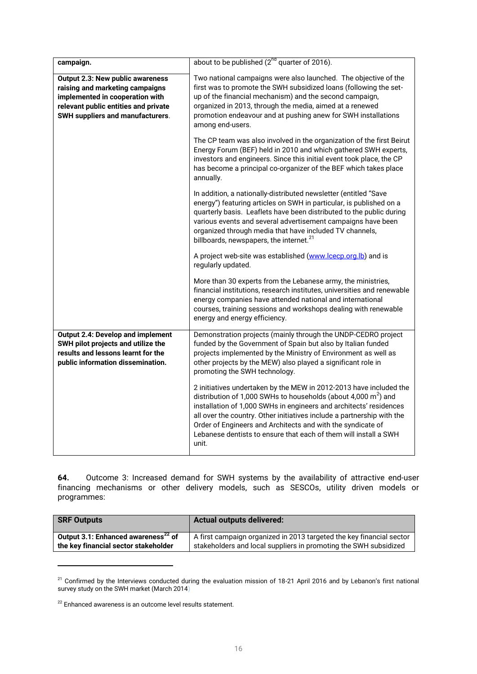| campaign.                                                                                                                                                                                 | about to be published $(2^{nd}$ quarter of 2016).                                                                                                                                                                                                                                                                                                                                                                                   |
|-------------------------------------------------------------------------------------------------------------------------------------------------------------------------------------------|-------------------------------------------------------------------------------------------------------------------------------------------------------------------------------------------------------------------------------------------------------------------------------------------------------------------------------------------------------------------------------------------------------------------------------------|
| <b>Output 2.3: New public awareness</b><br>raising and marketing campaigns<br>implemented in cooperation with<br>relevant public entities and private<br>SWH suppliers and manufacturers. | Two national campaigns were also launched. The objective of the<br>first was to promote the SWH subsidized loans (following the set-<br>up of the financial mechanism) and the second campaign,<br>organized in 2013, through the media, aimed at a renewed<br>promotion endeavour and at pushing anew for SWH installations<br>among end-users.                                                                                    |
|                                                                                                                                                                                           | The CP team was also involved in the organization of the first Beirut<br>Energy Forum (BEF) held in 2010 and which gathered SWH experts,<br>investors and engineers. Since this initial event took place, the CP<br>has become a principal co-organizer of the BEF which takes place<br>annually.                                                                                                                                   |
|                                                                                                                                                                                           | In addition, a nationally-distributed newsletter (entitled "Save<br>energy") featuring articles on SWH in particular, is published on a<br>quarterly basis. Leaflets have been distributed to the public during<br>various events and several advertisement campaigns have been<br>organized through media that have included TV channels,<br>billboards, newspapers, the internet. <sup>21</sup>                                   |
|                                                                                                                                                                                           | A project web-site was established (www.lcecp.org.lb) and is<br>regularly updated.                                                                                                                                                                                                                                                                                                                                                  |
|                                                                                                                                                                                           | More than 30 experts from the Lebanese army, the ministries,<br>financial institutions, research institutes, universities and renewable<br>energy companies have attended national and international<br>courses, training sessions and workshops dealing with renewable<br>energy and energy efficiency.                                                                                                                            |
| <b>Output 2.4: Develop and implement</b><br>SWH pilot projects and utilize the<br>results and lessons learnt for the<br>public information dissemination.                                 | Demonstration projects (mainly through the UNDP-CEDRO project<br>funded by the Government of Spain but also by Italian funded<br>projects implemented by the Ministry of Environment as well as<br>other projects by the MEW) also played a significant role in<br>promoting the SWH technology.                                                                                                                                    |
|                                                                                                                                                                                           | 2 initiatives undertaken by the MEW in 2012-2013 have included the<br>distribution of 1,000 SWHs to households (about 4,000 $m^2$ ) and<br>installation of 1,000 SWHs in engineers and architects' residences<br>all over the country. Other initiatives include a partnership with the<br>Order of Engineers and Architects and with the syndicate of<br>Lebanese dentists to ensure that each of them will install a SWH<br>unit. |

**64.** Outcome 3: Increased demand for SWH systems by the availability of attractive end-user financing mechanisms or other delivery models, such as SESCOs, utility driven models or programmes:

| <b>SRF Outputs</b>                              | <b>Actual outputs delivered:</b>                                     |
|-------------------------------------------------|----------------------------------------------------------------------|
| Output 3.1: Enhanced awareness <sup>22</sup> of | A first campaign organized in 2013 targeted the key financial sector |
| the key financial sector stakeholder            | stakeholders and local suppliers in promoting the SWH subsidized     |

 $21$  Confirmed by the Interviews conducted during the evaluation mission of 18-21 April 2016 and by Lebanon's first national survey study on the SWH market (March 2014)

**.** 

 $22$  Enhanced awareness is an outcome level results statement.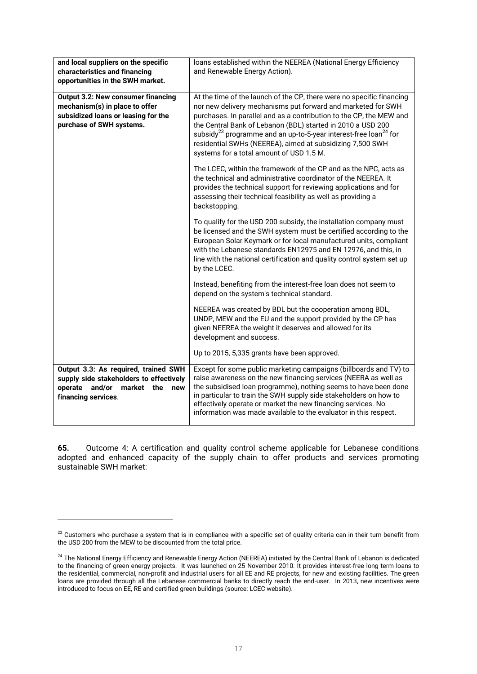| and local suppliers on the specific                                                                                                        | loans established within the NEEREA (National Energy Efficiency                                                                                                                                                                                                                                                                                                                                                  |
|--------------------------------------------------------------------------------------------------------------------------------------------|------------------------------------------------------------------------------------------------------------------------------------------------------------------------------------------------------------------------------------------------------------------------------------------------------------------------------------------------------------------------------------------------------------------|
| characteristics and financing                                                                                                              | and Renewable Energy Action).                                                                                                                                                                                                                                                                                                                                                                                    |
| opportunities in the SWH market.                                                                                                           |                                                                                                                                                                                                                                                                                                                                                                                                                  |
|                                                                                                                                            |                                                                                                                                                                                                                                                                                                                                                                                                                  |
| <b>Output 3.2: New consumer financing</b>                                                                                                  | At the time of the launch of the CP, there were no specific financing                                                                                                                                                                                                                                                                                                                                            |
| mechanism(s) in place to offer                                                                                                             | nor new delivery mechanisms put forward and marketed for SWH                                                                                                                                                                                                                                                                                                                                                     |
| subsidized loans or leasing for the                                                                                                        | purchases. In parallel and as a contribution to the CP, the MEW and                                                                                                                                                                                                                                                                                                                                              |
| purchase of SWH systems.                                                                                                                   | the Central Bank of Lebanon (BDL) started in 2010 a USD 200<br>subsidy <sup>23</sup> programme and an up-to-5-year interest-free loan <sup>24</sup> for<br>residential SWHs (NEEREA), aimed at subsidizing 7,500 SWH<br>systems for a total amount of USD 1.5 M.                                                                                                                                                 |
|                                                                                                                                            | The LCEC, within the framework of the CP and as the NPC, acts as<br>the technical and administrative coordinator of the NEEREA. It<br>provides the technical support for reviewing applications and for<br>assessing their technical feasibility as well as providing a<br>backstopping.                                                                                                                         |
|                                                                                                                                            | To qualify for the USD 200 subsidy, the installation company must<br>be licensed and the SWH system must be certified according to the<br>European Solar Keymark or for local manufactured units, compliant<br>with the Lebanese standards EN12975 and EN 12976, and this, in<br>line with the national certification and quality control system set up<br>by the LCEC.                                          |
|                                                                                                                                            | Instead, benefiting from the interest-free loan does not seem to<br>depend on the system's technical standard.                                                                                                                                                                                                                                                                                                   |
|                                                                                                                                            | NEEREA was created by BDL but the cooperation among BDL,<br>UNDP, MEW and the EU and the support provided by the CP has<br>given NEEREA the weight it deserves and allowed for its<br>development and success.                                                                                                                                                                                                   |
|                                                                                                                                            | Up to 2015, 5,335 grants have been approved.                                                                                                                                                                                                                                                                                                                                                                     |
| Output 3.3: As required, trained SWH<br>supply side stakeholders to effectively<br>operate and/or market the<br>new<br>financing services. | Except for some public marketing campaigns (billboards and TV) to<br>raise awareness on the new financing services (NEERA as well as<br>the subsidised loan programme), nothing seems to have been done<br>in particular to train the SWH supply side stakeholders on how to<br>effectively operate or market the new financing services. No<br>information was made available to the evaluator in this respect. |

**65.** Outcome 4: A certification and quality control scheme applicable for Lebanese conditions adopted and enhanced capacity of the supply chain to offer products and services promoting sustainable SWH market:

1

<sup>&</sup>lt;sup>23</sup> Customers who purchase a system that is in compliance with a specific set of quality criteria can in their turn benefit from the USD 200 from the MEW to be discounted from the total price.

 $^{24}$  The National Energy Efficiency and Renewable Energy Action (NEEREA) initiated by the Central Bank of Lebanon is dedicated to the financing of green energy projects. It was launched on 25 November 2010. It provides interest-free long term loans to the residential, commercial, non-profit and industrial users for all EE and RE projects, for new and existing facilities. The green loans are provided through all the Lebanese commercial banks to directly reach the end-user. In 2013, new incentives were introduced to focus on EE, RE and certified green buildings (source: LCEC website).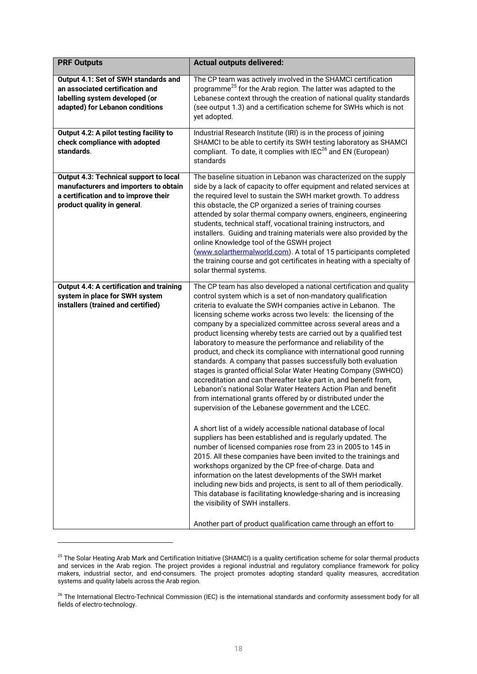| <b>PRF Outputs</b>                                                                                                                                            | <b>Actual outputs delivered:</b>                                                                                                                                                                                                                                                                                                                                                                                                                                                                                                                                                                                                                                                                                                                                                                                                                                                                                                                                                                                                                                                                                                                                                                                                                                                                                                                                                                                                                                                                                                                                                                       |
|---------------------------------------------------------------------------------------------------------------------------------------------------------------|--------------------------------------------------------------------------------------------------------------------------------------------------------------------------------------------------------------------------------------------------------------------------------------------------------------------------------------------------------------------------------------------------------------------------------------------------------------------------------------------------------------------------------------------------------------------------------------------------------------------------------------------------------------------------------------------------------------------------------------------------------------------------------------------------------------------------------------------------------------------------------------------------------------------------------------------------------------------------------------------------------------------------------------------------------------------------------------------------------------------------------------------------------------------------------------------------------------------------------------------------------------------------------------------------------------------------------------------------------------------------------------------------------------------------------------------------------------------------------------------------------------------------------------------------------------------------------------------------------|
| Output 4.1: Set of SWH standards and<br>an associated certification and<br>labelling system developed (or<br>adapted) for Lebanon conditions                  | The CP team was actively involved in the SHAMCI certification<br>programme <sup>25</sup> for the Arab region. The latter was adapted to the<br>Lebanese context through the creation of national quality standards<br>(see output 1.3) and a certification scheme for SWHs which is not<br>yet adopted.                                                                                                                                                                                                                                                                                                                                                                                                                                                                                                                                                                                                                                                                                                                                                                                                                                                                                                                                                                                                                                                                                                                                                                                                                                                                                                |
| Output 4.2: A pilot testing facility to<br>check compliance with adopted<br>standards.                                                                        | Industrial Research Institute (IRI) is in the process of joining<br>SHAMCI to be able to certify its SWH testing laboratory as SHAMCI<br>compliant. To date, it complies with IEC <sup>26</sup> and EN (European)<br>standards                                                                                                                                                                                                                                                                                                                                                                                                                                                                                                                                                                                                                                                                                                                                                                                                                                                                                                                                                                                                                                                                                                                                                                                                                                                                                                                                                                         |
| <b>Output 4.3: Technical support to local</b><br>manufacturers and importers to obtain<br>a certification and to improve their<br>product quality in general. | The baseline situation in Lebanon was characterized on the supply<br>side by a lack of capacity to offer equipment and related services at<br>the required level to sustain the SWH market growth. To address<br>this obstacle, the CP organized a series of training courses<br>attended by solar thermal company owners, engineers, engineering<br>students, technical staff, vocational training instructors, and<br>installers. Guiding and training materials were also provided by the<br>online Knowledge tool of the GSWH project<br>(www.solarthermalworld.com). A total of 15 participants completed<br>the training course and got certificates in heating with a specialty of<br>solar thermal systems.                                                                                                                                                                                                                                                                                                                                                                                                                                                                                                                                                                                                                                                                                                                                                                                                                                                                                    |
| <b>Output 4.4: A certification and training</b><br>system in place for SWH system<br>installers (trained and certified)                                       | The CP team has also developed a national certification and quality<br>control system which is a set of non-mandatory qualification<br>criteria to evaluate the SWH companies active in Lebanon. The<br>licensing scheme works across two levels: the licensing of the<br>company by a specialized committee across several areas and a<br>product licensing whereby tests are carried out by a qualified test<br>laboratory to measure the performance and reliability of the<br>product, and check its compliance with international good running<br>standards. A company that passes successfully both evaluation<br>stages is granted official Solar Water Heating Company (SWHCO)<br>accreditation and can thereafter take part in, and benefit from,<br>Lebanon's national Solar Water Heaters Action Plan and benefit<br>from international grants offered by or distributed under the<br>supervision of the Lebanese government and the LCEC.<br>A short list of a widely accessible national database of local<br>suppliers has been established and is regularly updated. The<br>number of licensed companies rose from 23 in 2005 to 145 in<br>2015. All these companies have been invited to the trainings and<br>workshops organized by the CP free-of-charge. Data and<br>information on the latest developments of the SWH market<br>including new bids and projects, is sent to all of them periodically.<br>This database is facilitating knowledge-sharing and is increasing<br>the visibility of SWH installers.<br>Another part of product qualification came through an effort to |

 $^{25}$  The Solar Heating Arab Mark and Certification Initiative (SHAMCI) is a quality certification scheme for solar thermal products and services in the Arab region. The project provides a regional industrial and regulatory compliance framework for policy makers, industrial sector, and end-consumers. The project promotes adopting standard quality measures, accreditation systems and quality labels across the Arab region.

1

<sup>&</sup>lt;sup>26</sup> The International Electro-Technical Commission (IEC) is the international standards and conformity assessment body for all fields of electro-technology.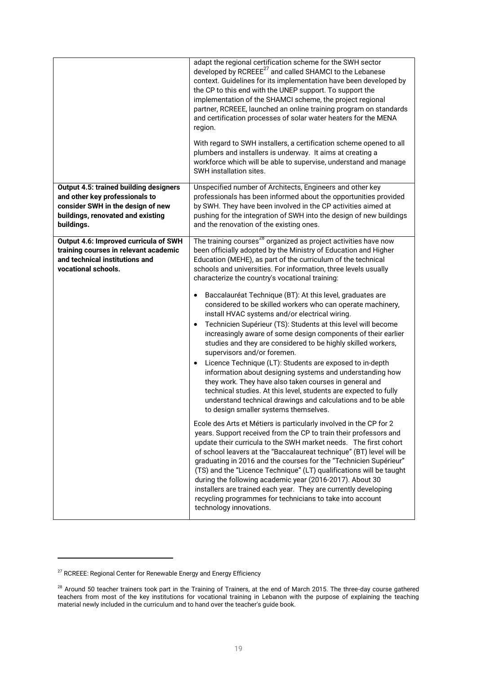|                                                                                                                                                                         | adapt the regional certification scheme for the SWH sector<br>developed by RCREEE <sup>27</sup> and called SHAMCI to the Lebanese<br>context. Guidelines for its implementation have been developed by<br>the CP to this end with the UNEP support. To support the<br>implementation of the SHAMCI scheme, the project regional<br>partner, RCREEE, launched an online training program on standards<br>and certification processes of solar water heaters for the MENA<br>region.<br>With regard to SWH installers, a certification scheme opened to all<br>plumbers and installers is underway. It aims at creating a<br>workforce which will be able to supervise, understand and manage<br>SWH installation sites.                                                                                                                                                                                                                                                                                                                                                                                                                                                                                   |
|-------------------------------------------------------------------------------------------------------------------------------------------------------------------------|----------------------------------------------------------------------------------------------------------------------------------------------------------------------------------------------------------------------------------------------------------------------------------------------------------------------------------------------------------------------------------------------------------------------------------------------------------------------------------------------------------------------------------------------------------------------------------------------------------------------------------------------------------------------------------------------------------------------------------------------------------------------------------------------------------------------------------------------------------------------------------------------------------------------------------------------------------------------------------------------------------------------------------------------------------------------------------------------------------------------------------------------------------------------------------------------------------|
| <b>Output 4.5: trained building designers</b><br>and other key professionals to<br>consider SWH in the design of new<br>buildings, renovated and existing<br>buildings. | Unspecified number of Architects, Engineers and other key<br>professionals has been informed about the opportunities provided<br>by SWH. They have been involved in the CP activities aimed at<br>pushing for the integration of SWH into the design of new buildings                                                                                                                                                                                                                                                                                                                                                                                                                                                                                                                                                                                                                                                                                                                                                                                                                                                                                                                                    |
| Output 4.6: Improved curricula of SWH<br>training courses in relevant academic<br>and technical institutions and<br>vocational schools.                                 | and the renovation of the existing ones.<br>The training courses <sup>28</sup> organized as project activities have now<br>been officially adopted by the Ministry of Education and Higher<br>Education (MEHE), as part of the curriculum of the technical<br>schools and universities. For information, three levels usually<br>characterize the country's vocational training:<br>Baccalauréat Technique (BT): At this level, graduates are<br>$\bullet$<br>considered to be skilled workers who can operate machinery,<br>install HVAC systems and/or electrical wiring.<br>Technicien Supérieur (TS): Students at this level will become<br>$\bullet$<br>increasingly aware of some design components of their earlier<br>studies and they are considered to be highly skilled workers,<br>supervisors and/or foremen.<br>Licence Technique (LT): Students are exposed to in-depth<br>$\bullet$<br>information about designing systems and understanding how<br>they work. They have also taken courses in general and<br>technical studies. At this level, students are expected to fully<br>understand technical drawings and calculations and to be able<br>to design smaller systems themselves. |
|                                                                                                                                                                         | Ecole des Arts et Métiers is particularly involved in the CP for 2<br>years. Support received from the CP to train their professors and<br>update their curricula to the SWH market needs. The first cohort<br>of school leavers at the "Baccalaureat technique" (BT) level will be<br>graduating in 2016 and the courses for the "Technicien Supérieur"<br>(TS) and the "Licence Technique" (LT) qualifications will be taught<br>during the following academic year (2016-2017). About 30<br>installers are trained each year. They are currently developing<br>recycling programmes for technicians to take into account<br>technology innovations.                                                                                                                                                                                                                                                                                                                                                                                                                                                                                                                                                   |

 $\overline{a}$ 

 $27$  RCREEE: Regional Center for Renewable Energy and Energy Efficiency

 $^{28}$  Around 50 teacher trainers took part in the Training of Trainers, at the end of March 2015. The three-day course gathered teachers from most of the key institutions for vocational training in Lebanon with the purpose of explaining the teaching material newly included in the curriculum and to hand over the teacher's guide book.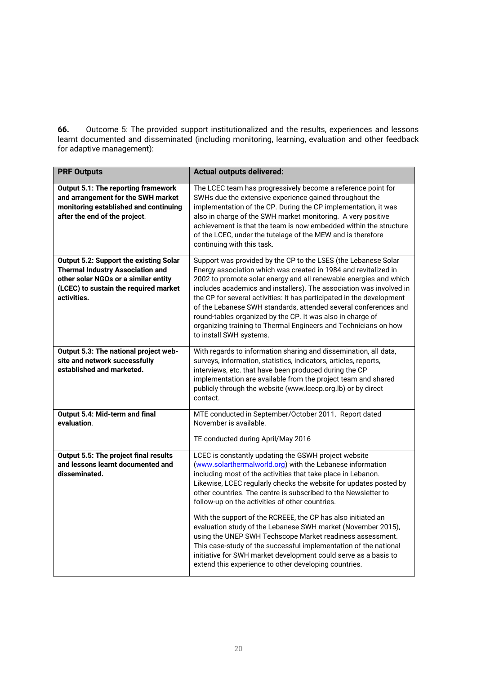**66.** Outcome 5: The provided support institutionalized and the results, experiences and lessons learnt documented and disseminated (including monitoring, learning, evaluation and other feedback for adaptive management):

| <b>PRF Outputs</b>                                                                                                                                                                | <b>Actual outputs delivered:</b>                                                                                                                                                                                                                                                                                                                                                                                                                                                                                                                                                                                                                                                                                                                                         |
|-----------------------------------------------------------------------------------------------------------------------------------------------------------------------------------|--------------------------------------------------------------------------------------------------------------------------------------------------------------------------------------------------------------------------------------------------------------------------------------------------------------------------------------------------------------------------------------------------------------------------------------------------------------------------------------------------------------------------------------------------------------------------------------------------------------------------------------------------------------------------------------------------------------------------------------------------------------------------|
| <b>Output 5.1: The reporting framework</b><br>and arrangement for the SWH market<br>monitoring established and continuing<br>after the end of the project.                        | The LCEC team has progressively become a reference point for<br>SWHs due the extensive experience gained throughout the<br>implementation of the CP. During the CP implementation, it was<br>also in charge of the SWH market monitoring. A very positive<br>achievement is that the team is now embedded within the structure<br>of the LCEC, under the tutelage of the MEW and is therefore<br>continuing with this task.                                                                                                                                                                                                                                                                                                                                              |
| Output 5.2: Support the existing Solar<br><b>Thermal Industry Association and</b><br>other solar NGOs or a similar entity<br>(LCEC) to sustain the required market<br>activities. | Support was provided by the CP to the LSES (the Lebanese Solar<br>Energy association which was created in 1984 and revitalized in<br>2002 to promote solar energy and all renewable energies and which<br>includes academics and installers). The association was involved in<br>the CP for several activities: It has participated in the development<br>of the Lebanese SWH standards, attended several conferences and<br>round-tables organized by the CP. It was also in charge of<br>organizing training to Thermal Engineers and Technicians on how<br>to install SWH systems.                                                                                                                                                                                    |
| Output 5.3: The national project web-<br>site and network successfully<br>established and marketed.                                                                               | With regards to information sharing and dissemination, all data,<br>surveys, information, statistics, indicators, articles, reports,<br>interviews, etc. that have been produced during the CP<br>implementation are available from the project team and shared<br>publicly through the website (www.lcecp.org.lb) or by direct<br>contact.                                                                                                                                                                                                                                                                                                                                                                                                                              |
| Output 5.4: Mid-term and final<br>evaluation.                                                                                                                                     | MTE conducted in September/October 2011. Report dated<br>November is available.<br>TE conducted during April/May 2016                                                                                                                                                                                                                                                                                                                                                                                                                                                                                                                                                                                                                                                    |
| <b>Output 5.5: The project final results</b><br>and lessons learnt documented and<br>disseminated.                                                                                | LCEC is constantly updating the GSWH project website<br>(www.solarthermalworld.org) with the Lebanese information<br>including most of the activities that take place in Lebanon.<br>Likewise, LCEC regularly checks the website for updates posted by<br>other countries. The centre is subscribed to the Newsletter to<br>follow-up on the activities of other countries.<br>With the support of the RCREEE, the CP has also initiated an<br>evaluation study of the Lebanese SWH market (November 2015),<br>using the UNEP SWH Techscope Market readiness assessment.<br>This case-study of the successful implementation of the national<br>initiative for SWH market development could serve as a basis to<br>extend this experience to other developing countries. |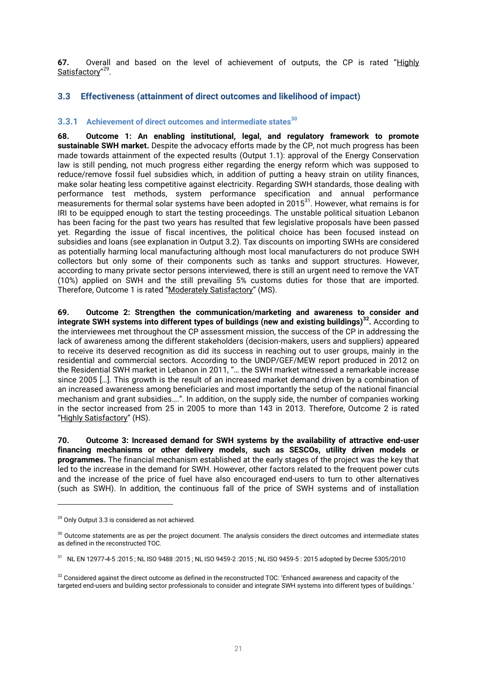**67.** Overall and based on the level of achievement of outputs, the CP is rated "Highly Satisfactory"<sup>29</sup> .

## <span id="page-20-0"></span>**3.3 Effectiveness (attainment of direct outcomes and likelihood of impact)**

## <span id="page-20-1"></span>**3.3.1 Achievement of direct outcomes and intermediate states<sup>30</sup>**

**68. Outcome 1: An enabling institutional, legal, and regulatory framework to promote sustainable SWH market.** Despite the advocacy efforts made by the CP, not much progress has been made towards attainment of the expected results (Output 1.1): approval of the Energy Conservation law is still pending, not much progress either regarding the energy reform which was supposed to reduce/remove fossil fuel subsidies which, in addition of putting a heavy strain on utility finances, make solar heating less competitive against electricity. Regarding SWH standards, those dealing with performance test methods, system performance specification and annual performance measurements for thermal solar systems have been adopted in 2015 $^{31}$ . However, what remains is for IRI to be equipped enough to start the testing proceedings. The unstable political situation Lebanon has been facing for the past two years has resulted that few legislative proposals have been passed yet. Regarding the issue of fiscal incentives, the political choice has been focused instead on subsidies and loans (see explanation in Output 3.2). Tax discounts on importing SWHs are considered as potentially harming local manufacturing although most local manufacturers do not produce SWH collectors but only some of their components such as tanks and support structures. However, according to many private sector persons interviewed, there is still an urgent need to remove the VAT (10%) applied on SWH and the still prevailing 5% customs duties for those that are imported. Therefore, Outcome 1 is rated "Moderately Satisfactory" (MS).

**69. Outcome 2: Strengthen the communication/marketing and awareness to consider and integrate SWH systems into different types of buildings (new and existing buildings)<sup>32</sup> .** According to the interviewees met throughout the CP assessment mission, the success of the CP in addressing the lack of awareness among the different stakeholders (decision-makers, users and suppliers) appeared to receive its deserved recognition as did its success in reaching out to user groups, mainly in the residential and commercial sectors. According to the UNDP/GEF/MEW report produced in 2012 on the Residential SWH market in Lebanon in 2011, "… the SWH market witnessed a remarkable increase since 2005 […]. This growth is the result of an increased market demand driven by a combination of an increased awareness among beneficiaries and most importantly the setup of the national financial mechanism and grant subsidies….". In addition, on the supply side, the number of companies working in the sector increased from 25 in 2005 to more than 143 in 2013. Therefore, Outcome 2 is rated "Highly Satisfactory" (HS).

**70. Outcome 3: Increased demand for SWH systems by the availability of attractive end-user financing mechanisms or other delivery models, such as SESCOs, utility driven models or programmes.** The financial mechanism established at the early stages of the project was the key that led to the increase in the demand for SWH. However, other factors related to the frequent power cuts and the increase of the price of fuel have also encouraged end-users to turn to other alternatives (such as SWH). In addition, the continuous fall of the price of SWH systems and of installation

**.** 

31 NL EN 12977-4-5 :2015 ; NL ISO 9488 :2015 ; NL ISO 9459-2 :2015 ; NL ISO 9459-5 : 2015 adopted by Decree 5305/2010

 $29$  Only Output 3.3 is considered as not achieved.

<sup>&</sup>lt;sup>30</sup> Outcome statements are as per the project document. The analysis considers the direct outcomes and intermediate states as defined in the reconstructed TOC.

<sup>&</sup>lt;sup>32</sup> Considered against the direct outcome as defined in the reconstructed TOC: 'Enhanced awareness and capacity of the targeted end-users and building sector professionals to consider and integrate SWH systems into different types of buildings.'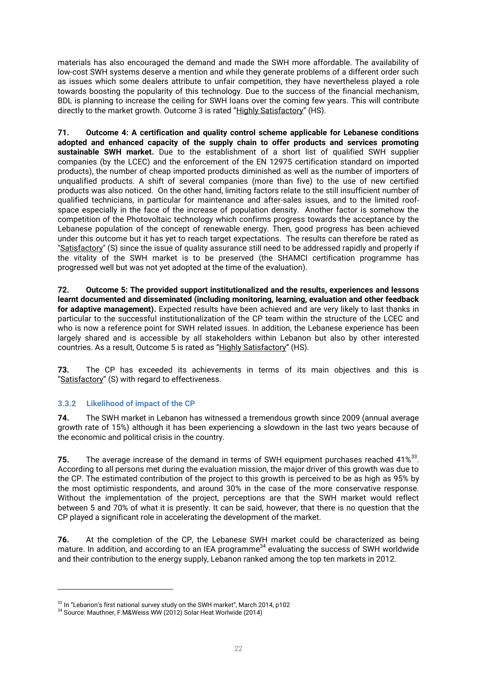materials has also encouraged the demand and made the SWH more affordable. The availability of low-cost SWH systems deserve a mention and while they generate problems of a different order such as issues which some dealers attribute to unfair competition, they have nevertheless played a role towards boosting the popularity of this technology. Due to the success of the financial mechanism, BDL is planning to increase the ceiling for SWH loans over the coming few years. This will contribute directly to the market growth. Outcome 3 is rated "Highly Satisfactory" (HS).

**71. Outcome 4: A certification and quality control scheme applicable for Lebanese conditions adopted and enhanced capacity of the supply chain to offer products and services promoting sustainable SWH market.** Due to the establishment of a short list of qualified SWH supplier companies (by the LCEC) and the enforcement of the EN 12975 certification standard on imported products), the number of cheap imported products diminished as well as the number of importers of unqualified products. A shift of several companies (more than five) to the use of new certified products was also noticed. On the other hand, limiting factors relate to the still insufficient number of qualified technicians, in particular for maintenance and after-sales issues, and to the limited roofspace especially in the face of the increase of population density. Another factor is somehow the competition of the Photovoltaic technology which confirms progress towards the acceptance by the Lebanese population of the concept of renewable energy. Then, good progress has been achieved under this outcome but it has yet to reach target expectations. The results can therefore be rated as "Satisfactory" (S) since the issue of quality assurance still need to be addressed rapidly and properly if the vitality of the SWH market is to be preserved (the SHAMCI certification programme has progressed well but was not yet adopted at the time of the evaluation).

**72. Outcome 5: The provided support institutionalized and the results, experiences and lessons learnt documented and disseminated (including monitoring, learning, evaluation and other feedback for adaptive management).** Expected results have been achieved and are very likely to last thanks in particular to the successful institutionalization of the CP team within the structure of the LCEC and who is now a reference point for SWH related issues. In addition, the Lebanese experience has been largely shared and is accessible by all stakeholders within Lebanon but also by other interested countries. As a result, Outcome 5 is rated as "Highly Satisfactory" (HS).

**73.** The CP has exceeded its achievements in terms of its main objectives and this is "Satisfactory" (S) with regard to effectiveness.

## <span id="page-21-0"></span>**3.3.2 Likelihood of impact of the CP**

1

**74.** The SWH market in Lebanon has witnessed a tremendous growth since 2009 (annual average growth rate of 15%) although it has been experiencing a slowdown in the last two years because of the economic and political crisis in the country.

75. The average increase of the demand in terms of SWH equipment purchases reached 41%<sup>33</sup>. According to all persons met during the evaluation mission, the major driver of this growth was due to the CP. The estimated contribution of the project to this growth is perceived to be as high as 95% by the most optimistic respondents, and around 30% in the case of the more conservative response. Without the implementation of the project, perceptions are that the SWH market would reflect between 5 and 70% of what it is presently. It can be said, however, that there is no question that the CP played a significant role in accelerating the development of the market.

**76.** At the completion of the CP, the Lebanese SWH market could be characterized as being mature. In addition, and according to an IEA programme<sup>34</sup> evaluating the success of SWH worldwide and their contribution to the energy supply, Lebanon ranked among the top ten markets in 2012.

<sup>&</sup>lt;sup>33</sup> In "Lebanon's first national survey study on the SWH market", March 2014, p102

<sup>34</sup> Source: Mauthner, F.M&Weiss WW (2012) Solar Heat Worlwide (2014)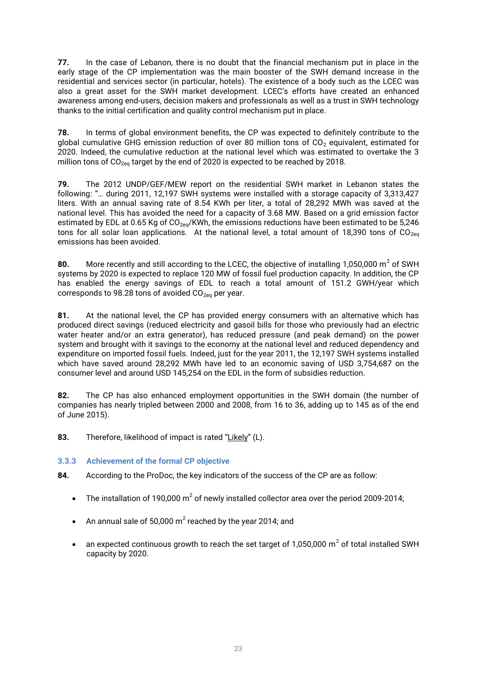**77.** In the case of Lebanon, there is no doubt that the financial mechanism put in place in the early stage of the CP implementation was the main booster of the SWH demand increase in the residential and services sector (in particular, hotels). The existence of a body such as the LCEC was also a great asset for the SWH market development. LCEC's efforts have created an enhanced awareness among end-users, decision makers and professionals as well as a trust in SWH technology thanks to the initial certification and quality control mechanism put in place.

**78.** In terms of global environment benefits, the CP was expected to definitely contribute to the global cumulative GHG emission reduction of over 80 million tons of  $CO<sub>2</sub>$  equivalent, estimated for 2020. Indeed, the cumulative reduction at the national level which was estimated to overtake the 3 million tons of  $CO_{2eq}$  target by the end of 2020 is expected to be reached by 2018.

**79.** The 2012 UNDP/GEF/MEW report on the residential SWH market in Lebanon states the following: "… during 2011, 12,197 SWH systems were installed with a storage capacity of 3,313,427 liters. With an annual saving rate of 8.54 KWh per liter, a total of 28,292 MWh was saved at the national level. This has avoided the need for a capacity of 3.68 MW. Based on a grid emission factor estimated by EDL at 0.65 Kg of  $CO_{2eq}$ /KWh, the emissions reductions have been estimated to be 5,246 tons for all solar loan applications. At the national level, a total amount of 18,390 tons of  $CO<sub>2eq</sub>$ emissions has been avoided.

**80.** More recently and still according to the LCEC, the objective of installing 1,050,000  $m^2$  of SWH systems by 2020 is expected to replace 120 MW of fossil fuel production capacity. In addition, the CP has enabled the energy savings of EDL to reach a total amount of 151.2 GWH/year which corresponds to 98.28 tons of avoided  $CO<sub>2eq</sub>$  per year.

**81.** At the national level, the CP has provided energy consumers with an alternative which has produced direct savings (reduced electricity and gasoil bills for those who previously had an electric water heater and/or an extra generator), has reduced pressure (and peak demand) on the power system and brought with it savings to the economy at the national level and reduced dependency and expenditure on imported fossil fuels. Indeed, just for the year 2011, the 12,197 SWH systems installed which have saved around 28,292 MWh have led to an economic saving of USD 3,754,687 on the consumer level and around USD 145,254 on the EDL in the form of subsidies reduction.

**82.** The CP has also enhanced employment opportunities in the SWH domain (the number of companies has nearly tripled between 2000 and 2008, from 16 to 36, adding up to 145 as of the end of June 2015).

**83.** Therefore, likelihood of impact is rated "Likely" (L).

## <span id="page-22-0"></span>**3.3.3 Achievement of the formal CP objective**

**84.** According to the ProDoc, the key indicators of the success of the CP are as follow:

- The installation of 190,000 m<sup>2</sup> of newly installed collector area over the period 2009-2014;
- An annual sale of 50,000  $m^2$  reached by the year 2014; and
- an expected continuous growth to reach the set target of 1,050,000  $m^2$  of total installed SWH capacity by 2020.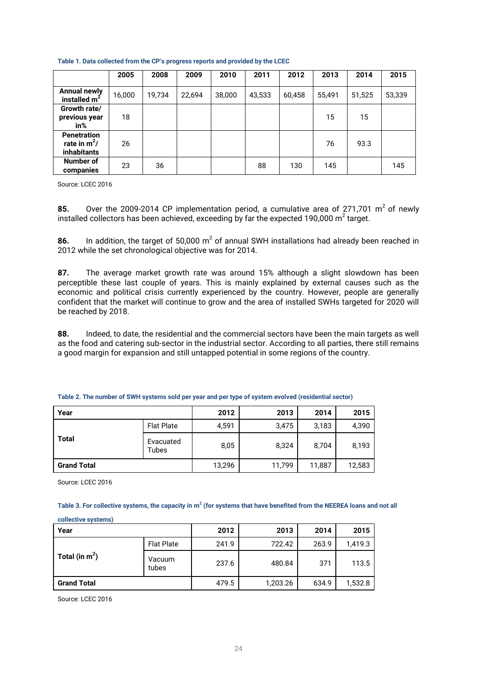|                                                            | 2005   | 2008   | 2009   | 2010   | 2011   | 2012   | 2013   | 2014   | 2015   |
|------------------------------------------------------------|--------|--------|--------|--------|--------|--------|--------|--------|--------|
| <b>Annual newly</b><br>installed m <sup>2</sup>            | 16,000 | 19,734 | 22,694 | 38,000 | 43,533 | 60,458 | 55,491 | 51,525 | 53,339 |
| Growth rate/<br>previous year<br>in%                       | 18     |        |        |        |        |        | 15     | 15     |        |
| <b>Penetration</b><br>rate in $m^2/$<br><b>inhabitants</b> | 26     |        |        |        |        |        | 76     | 93.3   |        |
| Number of<br>companies                                     | 23     | 36     |        |        | 88     | 130    | 145    |        | 145    |

#### **Table 1. Data collected from the CP's progress reports and provided by the LCEC**

Source: LCEC 2016

**85.** Over the 2009-2014 CP implementation period, a cumulative area of 271,701 m<sup>2</sup> of newly installed collectors has been achieved, exceeding by far the expected 190,000  $m^2$  target.

**86.** In addition, the target of 50,000  $m^2$  of annual SWH installations had already been reached in 2012 while the set chronological objective was for 2014.

**87.** The average market growth rate was around 15% although a slight slowdown has been perceptible these last couple of years. This is mainly explained by external causes such as the economic and political crisis currently experienced by the country. However, people are generally confident that the market will continue to grow and the area of installed SWHs targeted for 2020 will be reached by 2018.

**88.** Indeed, to date, the residential and the commercial sectors have been the main targets as well as the food and catering sub-sector in the industrial sector. According to all parties, there still remains a good margin for expansion and still untapped potential in some regions of the country.

| Year               |                    | 2012   | 2013   | 2014   | 2015   |
|--------------------|--------------------|--------|--------|--------|--------|
|                    | <b>Flat Plate</b>  | 4,591  | 3,475  | 3,183  | 4,390  |
| Total              | Evacuated<br>Tubes | 8,05   | 8,324  | 8,704  | 8,193  |
| <b>Grand Total</b> |                    | 13,296 | 11,799 | 11,887 | 12,583 |

**Table 2. The number of SWH systems sold per year and per type of system evolved (residential sector)**

Source: LCEC 2016

**collective systems**)

**Table 3. For collective systems, the capacity in m<sup>2</sup> (for systems that have benefited from the NEEREA loans and not all** 

| <b>COLLECTIVE SYSTEMS</b> |                   |       |          |       |         |
|---------------------------|-------------------|-------|----------|-------|---------|
| Year                      |                   | 2012  | 2013     | 2014  | 2015    |
|                           | <b>Flat Plate</b> | 241.9 | 722.42   | 263.9 | 1,419.3 |
| Total (in $m2$ )          | Vacuum<br>tubes   | 237.6 | 480.84   | 371   | 113.5   |
| <b>Grand Total</b>        |                   | 479.5 | 1,203.26 | 634.9 | 1,532.8 |

Source: LCEC 2016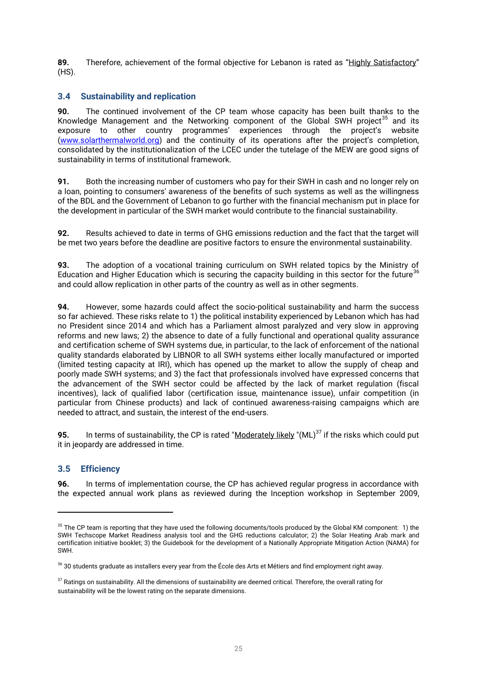**89.** Therefore, achievement of the formal objective for Lebanon is rated as "Highly Satisfactory" (HS).

## <span id="page-24-0"></span>**3.4 Sustainability and replication**

**90.** The continued involvement of the CP team whose capacity has been built thanks to the Knowledge Management and the Networking component of the Global SWH project<sup>35</sup> and its exposure to other country programmes' experiences through the project's website exposure to other country programmes' [\(www.solarthermalworld.org\)](http://www.solarthermalworld.org/) and the continuity of its operations after the project's completion, consolidated by the institutionalization of the LCEC under the tutelage of the MEW are good signs of sustainability in terms of institutional framework.

**91.** Both the increasing number of customers who pay for their SWH in cash and no longer rely on a loan, pointing to consumers' awareness of the benefits of such systems as well as the willingness of the BDL and the Government of Lebanon to go further with the financial mechanism put in place for the development in particular of the SWH market would contribute to the financial sustainability.

**92.** Results achieved to date in terms of GHG emissions reduction and the fact that the target will be met two years before the deadline are positive factors to ensure the environmental sustainability.

**93.** The adoption of a vocational training curriculum on SWH related topics by the Ministry of Education and Higher Education which is securing the capacity building in this sector for the future<sup>36</sup> and could allow replication in other parts of the country as well as in other segments.

**94.** However, some hazards could affect the socio-political sustainability and harm the success so far achieved. These risks relate to 1) the political instability experienced by Lebanon which has had no President since 2014 and which has a Parliament almost paralyzed and very slow in approving reforms and new laws; 2) the absence to date of a fully functional and operational quality assurance and certification scheme of SWH systems due, in particular, to the lack of enforcement of the national quality standards elaborated by LIBNOR to all SWH systems either locally manufactured or imported (limited testing capacity at IRI), which has opened up the market to allow the supply of cheap and poorly made SWH systems; and 3) the fact that professionals involved have expressed concerns that the advancement of the SWH sector could be affected by the lack of market regulation (fiscal incentives), lack of qualified labor (certification issue, maintenance issue), unfair competition (in particular from Chinese products) and lack of continued awareness-raising campaigns which are needed to attract, and sustain, the interest of the end-users.

95. In terms of sustainability, the CP is rated "Moderately likely "(ML)<sup>37</sup> if the risks which could put it in jeopardy are addressed in time.

## <span id="page-24-1"></span>**3.5 Efficiency**

**.** 

**96.** In terms of implementation course, the CP has achieved regular progress in accordance with the expected annual work plans as reviewed during the Inception workshop in September 2009,

<sup>&</sup>lt;sup>35</sup> The CP team is reporting that they have used the following documents/tools produced by the Global KM component: 1) the SWH Techscope Market Readiness analysis tool and the GHG reductions calculator; 2) the Solar Heating Arab mark and certification initiative booklet; 3) the Guidebook for the development of a Nationally Appropriate Mitigation Action (NAMA) for SWH.

<sup>&</sup>lt;sup>36</sup> 30 students graduate as installers every year from the École des Arts et Métiers and find employment right away.

<sup>&</sup>lt;sup>37</sup> Ratings on sustainability. All the dimensions of sustainability are deemed critical. Therefore, the overall rating for sustainability will be the lowest rating on the separate dimensions.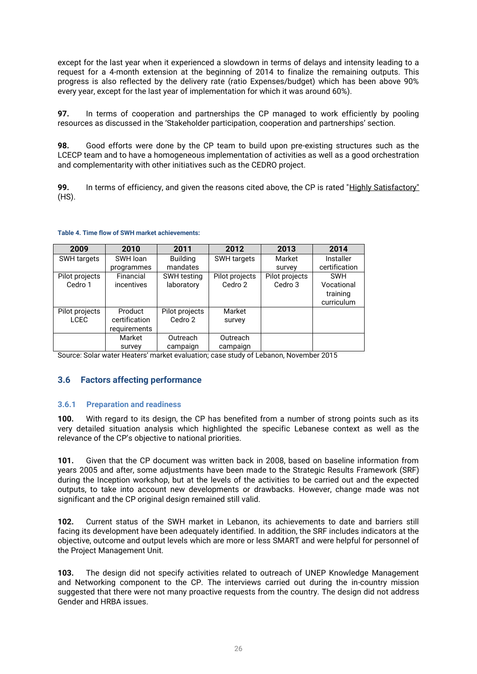except for the last year when it experienced a slowdown in terms of delays and intensity leading to a request for a 4-month extension at the beginning of 2014 to finalize the remaining outputs. This progress is also reflected by the delivery rate (ratio Expenses/budget) which has been above 90% every year, except for the last year of implementation for which it was around 60%).

**97.** In terms of cooperation and partnerships the CP managed to work efficiently by pooling resources as discussed in the 'Stakeholder participation, cooperation and partnerships' section.

**98.** Good efforts were done by the CP team to build upon pre-existing structures such as the LCECP team and to have a homogeneous implementation of activities as well as a good orchestration and complementarity with other initiatives such as the CEDRO project.

**99.** In terms of efficiency, and given the reasons cited above, the CP is rated "Highly Satisfactory" (HS).

| 2009           | 2010          | 2011               | 2012           | 2013           | 2014             |
|----------------|---------------|--------------------|----------------|----------------|------------------|
| SWH targets    | SWH loan      | <b>Building</b>    | SWH targets    | Market         | <b>Installer</b> |
|                | programmes    | mandates           |                | survey         | certification    |
| Pilot projects | Financial     | <b>SWH testing</b> | Pilot projects | Pilot projects | <b>SWH</b>       |
| Cedro 1        | incentives    | laboratory         | Cedro 2        | Cedro 3        | Vocational       |
|                |               |                    |                |                | training         |
|                |               |                    |                |                | curriculum       |
| Pilot projects | Product       | Pilot projects     | Market         |                |                  |
| LCEC           | certification | Cedro 2            | survey         |                |                  |
|                | requirements  |                    |                |                |                  |
|                | Market        | Outreach           | Outreach       |                |                  |
|                | survey        | campaign           | campaign       |                |                  |

#### **Table 4. Time flow of SWH market achievements:**

Source: Solar water Heaters' market evaluation; case study of Lebanon, November 2015

#### <span id="page-25-0"></span>**3.6 Factors affecting performance**

#### <span id="page-25-1"></span>**3.6.1 Preparation and readiness**

**100.** With regard to its design, the CP has benefited from a number of strong points such as its very detailed situation analysis which highlighted the specific Lebanese context as well as the relevance of the CP's objective to national priorities.

**101.** Given that the CP document was written back in 2008, based on baseline information from years 2005 and after, some adjustments have been made to the Strategic Results Framework (SRF) during the Inception workshop, but at the levels of the activities to be carried out and the expected outputs, to take into account new developments or drawbacks. However, change made was not significant and the CP original design remained still valid.

**102.** Current status of the SWH market in Lebanon, its achievements to date and barriers still facing its development have been adequately identified. In addition, the SRF includes indicators at the objective, outcome and output levels which are more or less SMART and were helpful for personnel of the Project Management Unit.

**103.** The design did not specify activities related to outreach of UNEP Knowledge Management and Networking component to the CP. The interviews carried out during the in-country mission suggested that there were not many proactive requests from the country. The design did not address Gender and HRBA issues.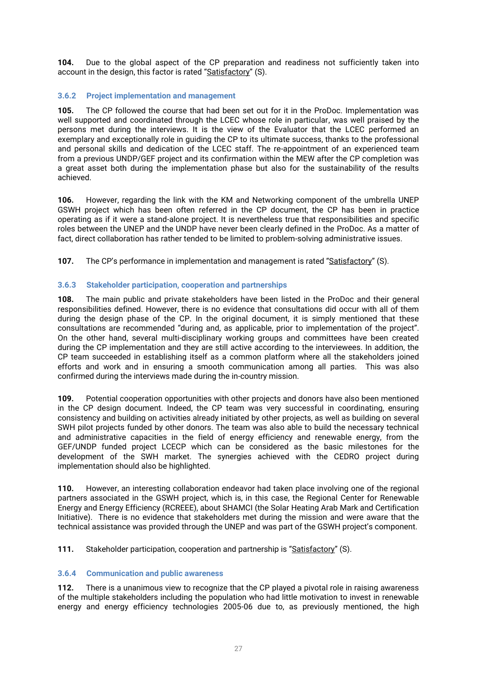**104.** Due to the global aspect of the CP preparation and readiness not sufficiently taken into account in the design, this factor is rated "Satisfactory" (S).

### <span id="page-26-0"></span>**3.6.2 Project implementation and management**

**105.** The CP followed the course that had been set out for it in the ProDoc. Implementation was well supported and coordinated through the LCEC whose role in particular, was well praised by the persons met during the interviews. It is the view of the Evaluator that the LCEC performed an exemplary and exceptionally role in guiding the CP to its ultimate success, thanks to the professional and personal skills and dedication of the LCEC staff. The re-appointment of an experienced team from a previous UNDP/GEF project and its confirmation within the MEW after the CP completion was a great asset both during the implementation phase but also for the sustainability of the results achieved.

**106.** However, regarding the link with the KM and Networking component of the umbrella UNEP GSWH project which has been often referred in the CP document, the CP has been in practice operating as if it were a stand-alone project. It is nevertheless true that responsibilities and specific roles between the UNEP and the UNDP have never been clearly defined in the ProDoc. As a matter of fact, direct collaboration has rather tended to be limited to problem-solving administrative issues.

**107.** The CP's performance in implementation and management is rated "Satisfactory" (S).

## <span id="page-26-1"></span>**3.6.3 Stakeholder participation, cooperation and partnerships**

**108.** The main public and private stakeholders have been listed in the ProDoc and their general responsibilities defined. However, there is no evidence that consultations did occur with all of them during the design phase of the CP. In the original document, it is simply mentioned that these consultations are recommended "during and, as applicable, prior to implementation of the project". On the other hand, several multi-disciplinary working groups and committees have been created during the CP implementation and they are still active according to the interviewees. In addition, the CP team succeeded in establishing itself as a common platform where all the stakeholders joined efforts and work and in ensuring a smooth communication among all parties. This was also confirmed during the interviews made during the in-country mission.

**109.** Potential cooperation opportunities with other projects and donors have also been mentioned in the CP design document. Indeed, the CP team was very successful in coordinating, ensuring consistency and building on activities already initiated by other projects, as well as building on several SWH pilot projects funded by other donors. The team was also able to build the necessary technical and administrative capacities in the field of energy efficiency and renewable energy, from the GEF/UNDP funded project LCECP which can be considered as the basic milestones for the development of the SWH market. The synergies achieved with the CEDRO project during implementation should also be highlighted.

**110.** However, an interesting collaboration endeavor had taken place involving one of the regional partners associated in the GSWH project, which is, in this case, the Regional Center for Renewable Energy and Energy Efficiency (RCREEE), about SHAMCI (the Solar Heating Arab Mark and Certification Initiative). There is no evidence that stakeholders met during the mission and were aware that the technical assistance was provided through the UNEP and was part of the GSWH project's component.

**111.** Stakeholder participation, cooperation and partnership is "Satisfactory" (S).

#### <span id="page-26-2"></span>**3.6.4 Communication and public awareness**

**112.** There is a unanimous view to recognize that the CP played a pivotal role in raising awareness of the multiple stakeholders including the population who had little motivation to invest in renewable energy and energy efficiency technologies 2005-06 due to, as previously mentioned, the high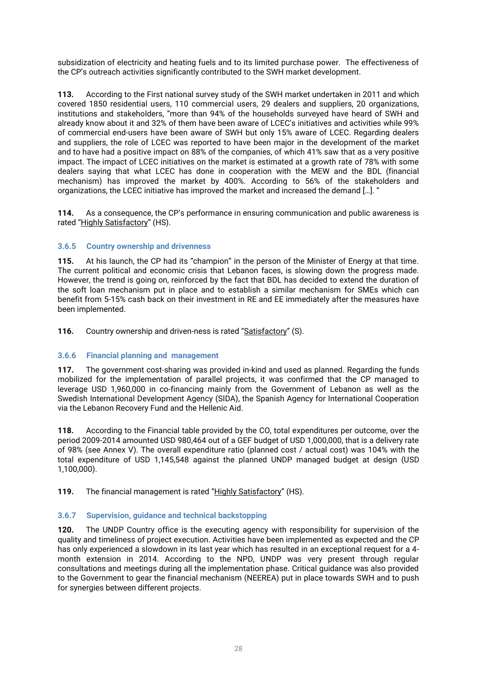subsidization of electricity and heating fuels and to its limited purchase power. The effectiveness of the CP's outreach activities significantly contributed to the SWH market development.

**113.** According to the First national survey study of the SWH market undertaken in 2011 and which covered 1850 residential users, 110 commercial users, 29 dealers and suppliers, 20 organizations, institutions and stakeholders, "more than 94% of the households surveyed have heard of SWH and already know about it and 32% of them have been aware of LCEC's initiatives and activities while 99% of commercial end-users have been aware of SWH but only 15% aware of LCEC. Regarding dealers and suppliers, the role of LCEC was reported to have been major in the development of the market and to have had a positive impact on 88% of the companies, of which 41% saw that as a very positive impact. The impact of LCEC initiatives on the market is estimated at a growth rate of 78% with some dealers saying that what LCEC has done in cooperation with the MEW and the BDL (financial mechanism) has improved the market by 400%. According to 56% of the stakeholders and organizations, the LCEC initiative has improved the market and increased the demand […]. "

**114.** As a consequence, the CP's performance in ensuring communication and public awareness is rated "Highly Satisfactory" (HS).

## <span id="page-27-0"></span>**3.6.5 Country ownership and drivenness**

**115.** At his launch, the CP had its "champion" in the person of the Minister of Energy at that time. The current political and economic crisis that Lebanon faces, is slowing down the progress made. However, the trend is going on, reinforced by the fact that BDL has decided to extend the duration of the soft loan mechanism put in place and to establish a similar mechanism for SMEs which can benefit from 5-15% cash back on their investment in RE and EE immediately after the measures have been implemented.

**116.** Country ownership and driven-ness is rated "Satisfactory" (S).

#### <span id="page-27-1"></span>**3.6.6 Financial planning and management**

**117.** The government cost-sharing was provided in-kind and used as planned. Regarding the funds mobilized for the implementation of parallel projects, it was confirmed that the CP managed to leverage USD 1,960,000 in co-financing mainly from the Government of Lebanon as well as the Swedish International Development Agency (SIDA), the Spanish Agency for International Cooperation via the Lebanon Recovery Fund and the Hellenic Aid.

**118.** According to the Financial table provided by the CO, total expenditures per outcome, over the period 2009-2014 amounted USD 980,464 out of a GEF budget of USD 1,000,000, that is a delivery rate of 98% (see Annex V). The overall expenditure ratio (planned cost / actual cost) was 104% with the total expenditure of USD 1,145,548 against the planned UNDP managed budget at design (USD 1,100,000).

**119.** The financial management is rated "Highly Satisfactory" (HS).

#### <span id="page-27-2"></span>**3.6.7 Supervision, guidance and technical backstopping**

**120.** The UNDP Country office is the executing agency with responsibility for supervision of the quality and timeliness of project execution. Activities have been implemented as expected and the CP has only experienced a slowdown in its last year which has resulted in an exceptional request for a 4 month extension in 2014. According to the NPD, UNDP was very present through regular consultations and meetings during all the implementation phase. Critical guidance was also provided to the Government to gear the financial mechanism (NEEREA) put in place towards SWH and to push for synergies between different projects.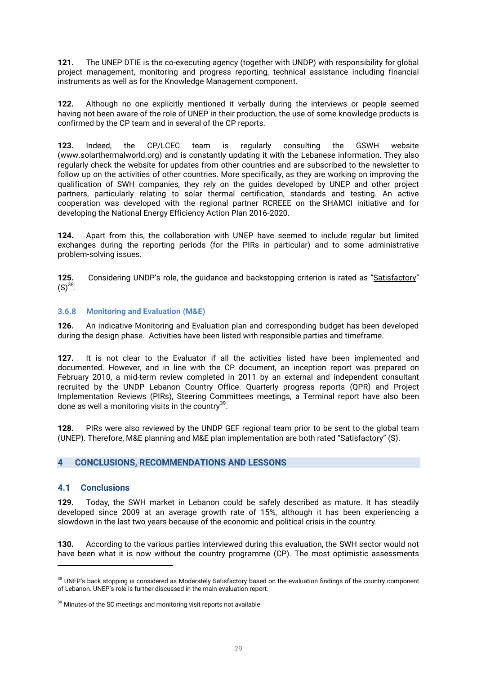**121.** The UNEP DTIE is the co-executing agency (together with UNDP) with responsibility for global project management, monitoring and progress reporting, technical assistance including financial instruments as well as for the Knowledge Management component.

**122.** Although no one explicitly mentioned it verbally during the interviews or people seemed having not been aware of the role of UNEP in their production, the use of some knowledge products is confirmed by the CP team and in several of the CP reports.

**123.** Indeed, the CP/LCEC team is regularly consulting the GSWH website [\(www.solarthermalworld.org\)](http://www.solarthermalworld.org/) and is constantly updating it with the Lebanese information. They also regularly check the website for updates from other countries and are subscribed to the newsletter to follow up on the activities of other countries. More specifically, as they are working on improving the qualification of SWH companies, they rely on the guides developed by UNEP and other project partners, particularly relating to solar thermal certification, standards and testing. An active cooperation was developed with the regional partner RCREEE on the SHAMCI initiative and for developing the National Energy Efficiency Action Plan 2016-2020.

**124.** Apart from this, the collaboration with UNEP have seemed to include regular but limited exchanges during the reporting periods (for the PIRs in particular) and to some administrative problem-solving issues.

**125.** Considering UNDP's role, the guidance and backstopping criterion is rated as "Satisfactory"  $(S)^{38}$ .

#### <span id="page-28-0"></span>**3.6.8 Monitoring and Evaluation (M&E)**

**126.** An indicative Monitoring and Evaluation plan and corresponding budget has been developed during the design phase. Activities have been listed with responsible parties and timeframe.

**127.** It is not clear to the Evaluator if all the activities listed have been implemented and documented. However, and in line with the CP document, an inception report was prepared on February 2010, a mid-term review completed in 2011 by an external and independent consultant recruited by the UNDP Lebanon Country Office. Quarterly progress reports (QPR) and Project Implementation Reviews (PIRs), Steering Committees meetings, a Terminal report have also been done as well a monitoring visits in the country<sup>39</sup>.

**128.** PIRs were also reviewed by the UNDP GEF regional team prior to be sent to the global team (UNEP). Therefore, M&E planning and M&E plan implementation are both rated "Satisfactory" (S).

## <span id="page-28-1"></span>**4 CONCLUSIONS, RECOMMENDATIONS AND LESSONS**

#### <span id="page-28-2"></span>**4.1 Conclusions**

**.** 

**129.** Today, the SWH market in Lebanon could be safely described as mature. It has steadily developed since 2009 at an average growth rate of 15%, although it has been experiencing a slowdown in the last two years because of the economic and political crisis in the country.

**130.** According to the various parties interviewed during this evaluation, the SWH sector would not have been what it is now without the country programme (CP). The most optimistic assessments

<sup>&</sup>lt;sup>38</sup> UNEP's back stopping is considered as Moderately Satisfactory based on the evaluation findings of the country component of Lebanon. UNEP's role is further discussed in the main evaluation report.

 $39$  Minutes of the SC meetings and monitoring visit reports not available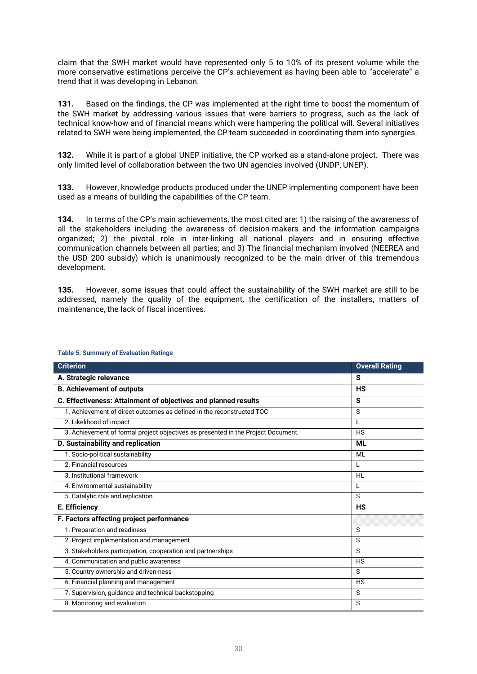claim that the SWH market would have represented only 5 to 10% of its present volume while the more conservative estimations perceive the CP's achievement as having been able to "accelerate" a trend that it was developing in Lebanon.

**131.** Based on the findings, the CP was implemented at the right time to boost the momentum of the SWH market by addressing various issues that were barriers to progress, such as the lack of technical know-how and of financial means which were hampering the political will. Several initiatives related to SWH were being implemented, the CP team succeeded in coordinating them into synergies.

**132.** While it is part of a global UNEP initiative, the CP worked as a stand-alone project. There was only limited level of collaboration between the two UN agencies involved (UNDP, UNEP).

**133.** However, knowledge products produced under the UNEP implementing component have been used as a means of building the capabilities of the CP team.

**134.** In terms of the CP's main achievements, the most cited are: 1) the raising of the awareness of all the stakeholders including the awareness of decision-makers and the information campaigns organized; 2) the pivotal role in inter-linking all national players and in ensuring effective communication channels between all parties; and 3) The financial mechanism involved (NEEREA and the USD 200 subsidy) which is unanimously recognized to be the main driver of this tremendous development.

**135.** However, some issues that could affect the sustainability of the SWH market are still to be addressed, namely the quality of the equipment, the certification of the installers, matters of maintenance, the lack of fiscal incentives.

| <b>Criterion</b>                                                                  | <b>Overall Rating</b> |
|-----------------------------------------------------------------------------------|-----------------------|
| A. Strategic relevance                                                            | S                     |
| <b>B. Achievement of outputs</b>                                                  | <b>HS</b>             |
| C. Effectiveness: Attainment of objectives and planned results                    | S                     |
| 1. Achievement of direct outcomes as defined in the reconstructed TOC             | S                     |
| 2. Likelihood of impact                                                           | L                     |
| 3. Achievement of formal project objectives as presented in the Project Document. | <b>HS</b>             |
| D. Sustainability and replication                                                 | <b>ML</b>             |
| 1. Socio-political sustainability                                                 | <b>ML</b>             |
| 2. Financial resources                                                            | L                     |
| 3. Institutional framework                                                        | <b>HL</b>             |
| 4. Environmental sustainability                                                   | L                     |
| 5. Catalytic role and replication                                                 | S                     |
| E. Efficiency                                                                     | <b>HS</b>             |
| F. Factors affecting project performance                                          |                       |
| 1. Preparation and readiness                                                      | S                     |
| 2. Project implementation and management                                          | S.                    |
| 3. Stakeholders participation, cooperation and partnerships                       | S                     |
| 4. Communication and public awareness                                             | <b>HS</b>             |
| 5. Country ownership and driven-ness                                              | S                     |
| 6. Financial planning and management                                              | <b>HS</b>             |
| 7. Supervision, guidance and technical backstopping                               | S                     |
| 8. Monitoring and evaluation                                                      | S                     |

#### **Table 5: Summary of Evaluation Ratings**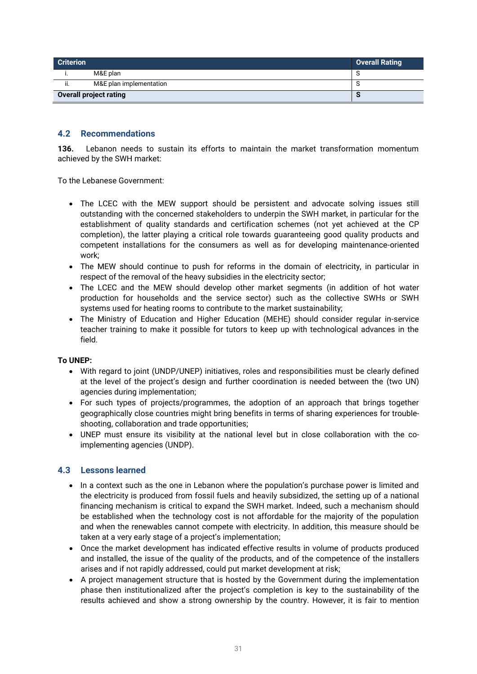| <b>Criterion</b>              |                         | <b>Overall Rating</b> |
|-------------------------------|-------------------------|-----------------------|
|                               | M&E plan                |                       |
| ii.                           | M&E plan implementation | u                     |
| <b>Overall project rating</b> |                         |                       |

## <span id="page-30-0"></span>**4.2 Recommendations**

**136.** Lebanon needs to sustain its efforts to maintain the market transformation momentum achieved by the SWH market:

To the Lebanese Government:

- The LCEC with the MEW support should be persistent and advocate solving issues still outstanding with the concerned stakeholders to underpin the SWH market, in particular for the establishment of quality standards and certification schemes (not yet achieved at the CP completion), the latter playing a critical role towards guaranteeing good quality products and competent installations for the consumers as well as for developing maintenance-oriented work;
- The MEW should continue to push for reforms in the domain of electricity, in particular in respect of the removal of the heavy subsidies in the electricity sector;
- The LCEC and the MEW should develop other market segments (in addition of hot water production for households and the service sector) such as the collective SWHs or SWH systems used for heating rooms to contribute to the market sustainability;
- The Ministry of Education and Higher Education (MEHE) should consider regular in-service teacher training to make it possible for tutors to keep up with technological advances in the field.

## **To UNEP:**

- With regard to joint (UNDP/UNEP) initiatives, roles and responsibilities must be clearly defined at the level of the project's design and further coordination is needed between the (two UN) agencies during implementation;
- For such types of projects/programmes, the adoption of an approach that brings together geographically close countries might bring benefits in terms of sharing experiences for troubleshooting, collaboration and trade opportunities;
- UNEP must ensure its visibility at the national level but in close collaboration with the coimplementing agencies (UNDP).

## <span id="page-30-1"></span>**4.3 Lessons learned**

- In a context such as the one in Lebanon where the population's purchase power is limited and the electricity is produced from fossil fuels and heavily subsidized, the setting up of a national financing mechanism is critical to expand the SWH market. Indeed, such a mechanism should be established when the technology cost is not affordable for the majority of the population and when the renewables cannot compete with electricity. In addition, this measure should be taken at a very early stage of a project's implementation;
- Once the market development has indicated effective results in volume of products produced and installed, the issue of the quality of the products, and of the competence of the installers arises and if not rapidly addressed, could put market development at risk;
- A project management structure that is hosted by the Government during the implementation phase then institutionalized after the project's completion is key to the sustainability of the results achieved and show a strong ownership by the country. However, it is fair to mention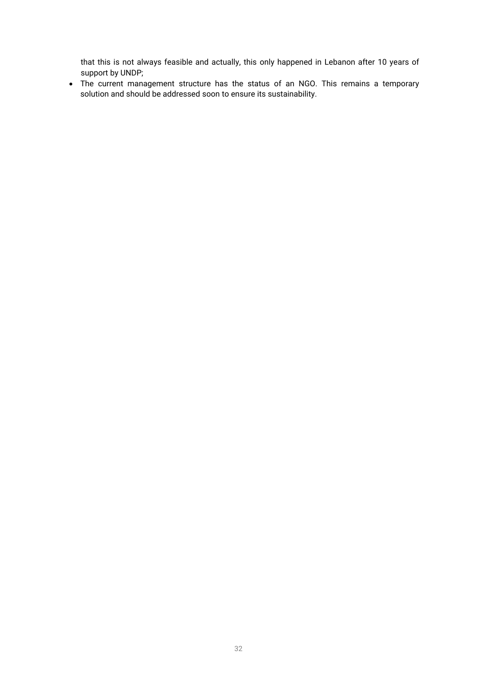that this is not always feasible and actually, this only happened in Lebanon after 10 years of support by UNDP;

• The current management structure has the status of an NGO. This remains a temporary solution and should be addressed soon to ensure its sustainability.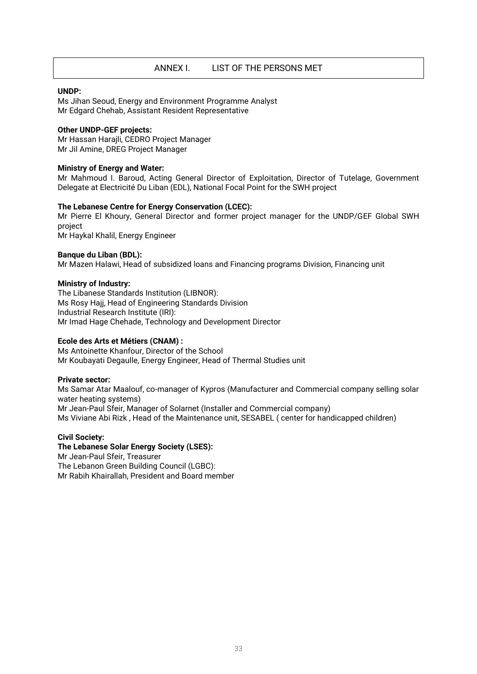## ANNEX I. LIST OF THE PERSONS MET

#### <span id="page-32-0"></span>**UNDP:**

Ms Jihan Seoud, Energy and Environment Programme Analyst Mr Edgard Chehab, Assistant Resident Representative

#### **Other UNDP-GEF projects:**

Mr Hassan Harajli, CEDRO Project Manager Mr Jil Amine, DREG Project Manager

#### **Ministry of Energy and Water:**

Mr Mahmoud I. Baroud, Acting General Director of Exploitation, Director of Tutelage, Government Delegate at Electricité Du Liban (EDL), National Focal Point for the SWH project

#### **The Lebanese Centre for Energy Conservation (LCEC):**

Mr Pierre El Khoury, General Director and former project manager for the UNDP/GEF Global SWH project Mr Haykal Khalil, Energy Engineer

#### **Banque du Liban (BDL):**

Mr Mazen Halawi, Head of subsidized loans and Financing programs Division, Financing unit

#### **Ministry of Industry:**

The Libanese Standards Institution (LIBNOR): Ms Rosy Hajj, Head of Engineering Standards Division Industrial Research Institute (IRI): Mr Imad Hage Chehade, Technology and Development Director

#### **Ecole des Arts et Métiers (CNAM) :**

Ms Antoinette Khanfour, Director of the School Mr Koubayati Degaulle, Energy Engineer, Head of Thermal Studies unit

#### **Private sector:**

Ms Samar Atar Maalouf, co-manager of Kypros (Manufacturer and Commercial company selling solar water heating systems) Mr Jean-Paul Sfeir, Manager of Solarnet (Installer and Commercial company) Ms Viviane Abi Rizk , Head of the Maintenance unit, SESABEL ( center for handicapped children)

#### **Civil Society:**

**The Lebanese Solar Energy Society (LSES):** Mr Jean-Paul Sfeir, Treasurer The Lebanon Green Building Council (LGBC): Mr Rabih Khairallah, President and Board member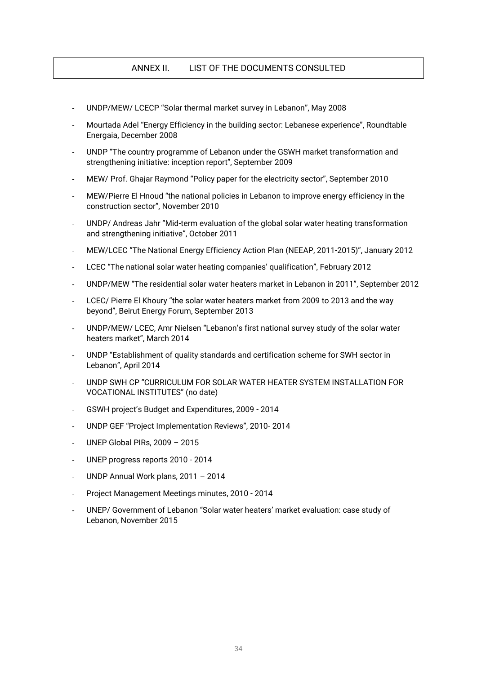## ANNEX II. LIST OF THE DOCUMENTS CONSULTED

- <span id="page-33-0"></span>- UNDP/MEW/ LCECP "Solar thermal market survey in Lebanon", May 2008
- Mourtada Adel "Energy Efficiency in the building sector: Lebanese experience", Roundtable Energaia, December 2008
- UNDP "The country programme of Lebanon under the GSWH market transformation and strengthening initiative: inception report", September 2009
- MEW/ Prof. Ghajar Raymond "Policy paper for the electricity sector", September 2010
- MEW/Pierre El Hnoud "the national policies in Lebanon to improve energy efficiency in the construction sector", November 2010
- UNDP/ Andreas Jahr "Mid-term evaluation of the global solar water heating transformation and strengthening initiative", October 2011
- MEW/LCEC "The National Energy Efficiency Action Plan (NEEAP, 2011-2015)", January 2012
- LCEC "The national solar water heating companies' qualification", February 2012
- UNDP/MEW "The residential solar water heaters market in Lebanon in 2011", September 2012
- LCEC/ Pierre El Khoury "the solar water heaters market from 2009 to 2013 and the way beyond", Beirut Energy Forum, September 2013
- UNDP/MEW/ LCEC, Amr Nielsen "Lebanon's first national survey study of the solar water heaters market", March 2014
- UNDP "Establishment of quality standards and certification scheme for SWH sector in Lebanon", April 2014
- UNDP SWH CP "CURRICULUM FOR SOLAR WATER HEATER SYSTEM INSTALLATION FOR VOCATIONAL INSTITUTES" (no date)
- GSWH project's Budget and Expenditures, 2009 2014
- UNDP GEF "Project Implementation Reviews", 2010- 2014
- UNEP Global PIRs, 2009 2015
- UNEP progress reports 2010 2014
- UNDP Annual Work plans,  $2011 2014$
- Project Management Meetings minutes, 2010 2014
- UNEP/ Government of Lebanon "Solar water heaters' market evaluation: case study of Lebanon, November 2015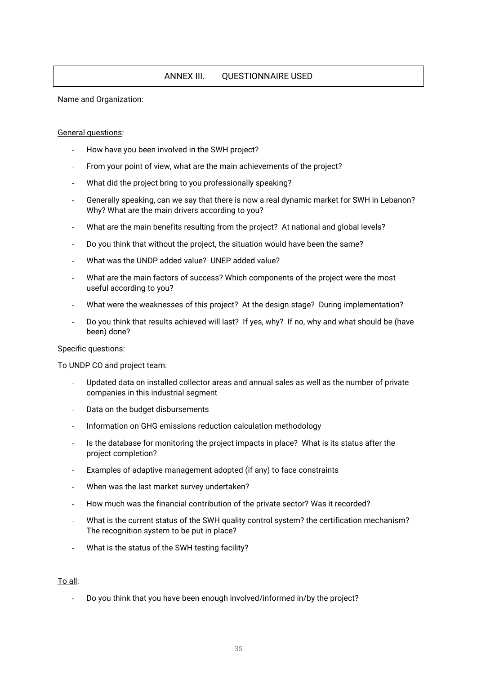## ANNEX III. OUESTIONNAIRE USED

<span id="page-34-0"></span>Name and Organization:

#### General questions:

- How have you been involved in the SWH project?
- From your point of view, what are the main achievements of the project?
- What did the project bring to you professionally speaking?
- Generally speaking, can we say that there is now a real dynamic market for SWH in Lebanon? Why? What are the main drivers according to you?
- What are the main benefits resulting from the project? At national and global levels?
- Do you think that without the project, the situation would have been the same?
- What was the UNDP added value? UNEP added value?
- What are the main factors of success? Which components of the project were the most useful according to you?
- What were the weaknesses of this project? At the design stage? During implementation?
- Do you think that results achieved will last? If yes, why? If no, why and what should be (have been) done?

#### Specific questions:

To UNDP CO and project team:

- Updated data on installed collector areas and annual sales as well as the number of private companies in this industrial segment
- Data on the budget disbursements
- Information on GHG emissions reduction calculation methodology
- Is the database for monitoring the project impacts in place? What is its status after the project completion?
- Examples of adaptive management adopted (if any) to face constraints
- When was the last market survey undertaken?
- How much was the financial contribution of the private sector? Was it recorded?
- What is the current status of the SWH quality control system? the certification mechanism? The recognition system to be put in place?
- What is the status of the SWH testing facility?

#### To all:

Do you think that you have been enough involved/informed in/by the project?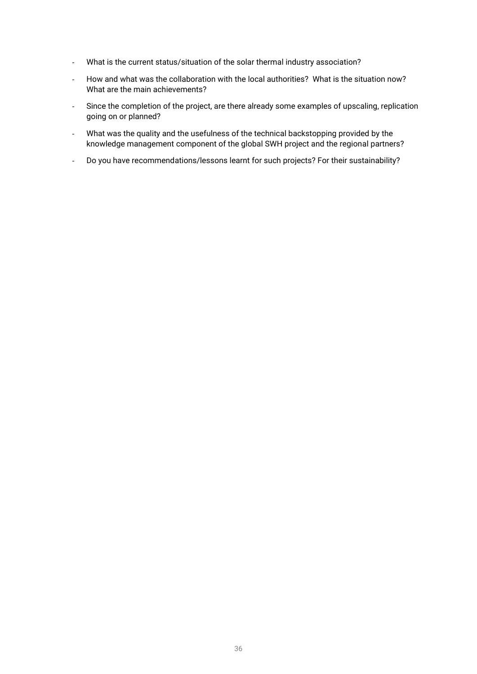- What is the current status/situation of the solar thermal industry association?
- How and what was the collaboration with the local authorities? What is the situation now? What are the main achievements?
- Since the completion of the project, are there already some examples of upscaling, replication going on or planned?
- What was the quality and the usefulness of the technical backstopping provided by the knowledge management component of the global SWH project and the regional partners?
- Do you have recommendations/lessons learnt for such projects? For their sustainability?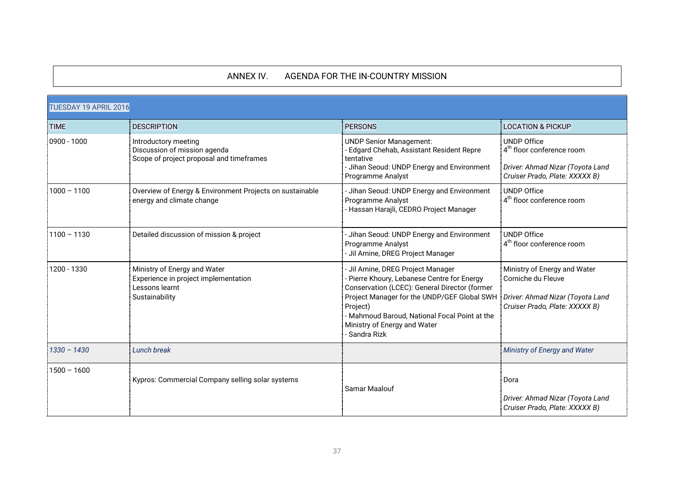## ANNEX IV. AGENDA FOR THE IN-COUNTRY MISSION

<span id="page-36-0"></span>

| TUESDAY 19 APRIL 2016 |                                                                                                          |                                                                                                                                                                                                                                                                                        |                                                                                                                                   |
|-----------------------|----------------------------------------------------------------------------------------------------------|----------------------------------------------------------------------------------------------------------------------------------------------------------------------------------------------------------------------------------------------------------------------------------------|-----------------------------------------------------------------------------------------------------------------------------------|
| <b>TIME</b>           | <b>DESCRIPTION</b>                                                                                       | PERSONS                                                                                                                                                                                                                                                                                | <b>LOCATION &amp; PICKUP</b>                                                                                                      |
| 0900 - 1000           | Introductory meeting<br>Discussion of mission agenda<br>Scope of project proposal and timeframes         | <b>UNDP Senior Management:</b><br>Edgard Chehab, Assistant Resident Repre<br>tentative<br>Jihan Seoud: UNDP Energy and Environment<br>Programme Analyst                                                                                                                                | <b>UNDP Office</b><br>4 <sup>th</sup> floor conference room<br>Driver: Ahmad Nizar (Toyota Land<br>Cruiser Prado, Plate: XXXXX B) |
| $1000 - 1100$         | Overview of Energy & Environment Projects on sustainable<br>energy and climate change                    | Jihan Seoud: UNDP Energy and Environment<br>Programme Analyst<br>Hassan Harajli, CEDRO Project Manager                                                                                                                                                                                 | <b>UNDP Office</b><br>$4th$ floor conference room                                                                                 |
| $1100 - 1130$         | Detailed discussion of mission & project                                                                 | Jihan Seoud: UNDP Energy and Environment<br>Programme Analyst<br>Jil Amine, DREG Project Manager                                                                                                                                                                                       | <b>UNDP Office</b><br>4 <sup>th</sup> floor conference room                                                                       |
| 1200 - 1330           | Ministry of Energy and Water<br>Experience in project implementation<br>Lessons learnt<br>Sustainability | Jil Amine, DREG Project Manager<br>Pierre Khoury, Lebanese Centre for Energy<br>Conservation (LCEC): General Director (former<br>Project Manager for the UNDP/GEF Global SWH<br>Project)<br>Mahmoud Baroud, National Focal Point at the<br>Ministry of Energy and Water<br>Sandra Rizk | Ministry of Energy and Water<br>Corniche du Fleuve<br>Driver: Ahmad Nizar (Toyota Land<br>Cruiser Prado, Plate: XXXXX B)          |
| $1330 - 1430$         | Lunch break                                                                                              |                                                                                                                                                                                                                                                                                        | Ministry of Energy and Water                                                                                                      |
| $1500 - 1600$         | Kypros: Commercial Company selling solar systems                                                         | <b>Samar Maalouf</b>                                                                                                                                                                                                                                                                   | Dora<br>Driver: Ahmad Nizar (Toyota Land<br>Cruiser Prado, Plate: XXXXX B)                                                        |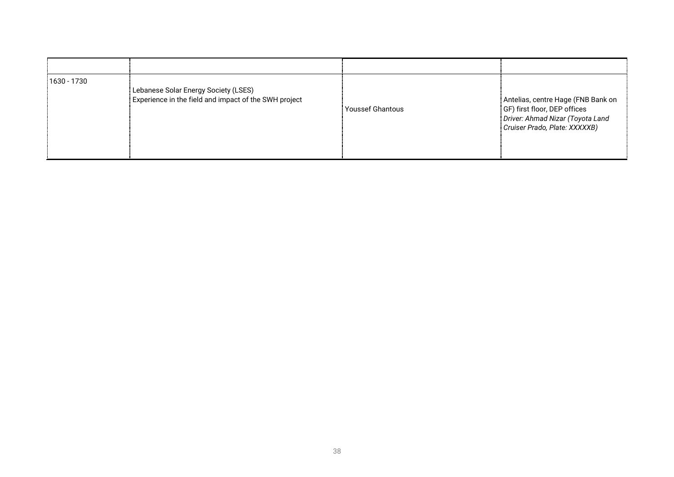| 1630 - 1730 | Lebanese Solar Energy Society (LSES)<br>Experience in the field and impact of the SWH project | <b>Youssef Ghantous</b> | Antelias, centre Hage (FNB Bank on<br>GF) first floor, DEP offices<br>Driver: Ahmad Nizar (Toyota Land<br>Cruiser Prado, Plate: XXXXXB) |
|-------------|-----------------------------------------------------------------------------------------------|-------------------------|-----------------------------------------------------------------------------------------------------------------------------------------|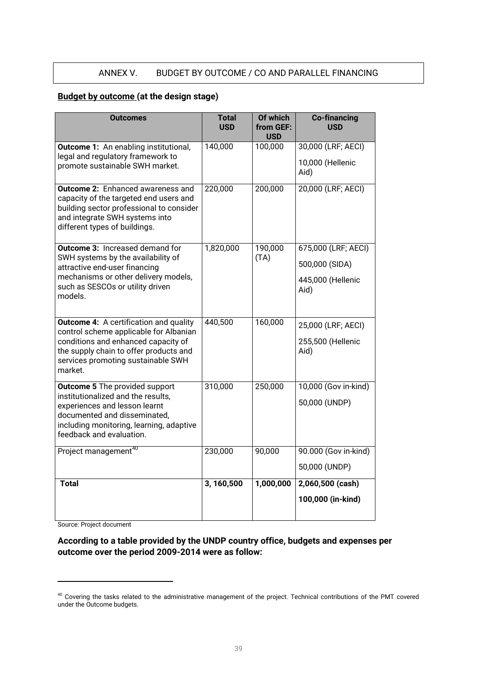## ANNEX V. BUDGET BY OUTCOME / CO AND PARALLEL FINANCING

## <span id="page-38-0"></span>**Budget by outcome (at the design stage)**

| <b>Outcomes</b>                                                                                                                                                                            | <b>Total</b><br><b>USD</b> | Of which<br>from GEF:<br><b>USD</b> | <b>Co-financing</b><br><b>USD</b>              |
|--------------------------------------------------------------------------------------------------------------------------------------------------------------------------------------------|----------------------------|-------------------------------------|------------------------------------------------|
| <b>Outcome 1:</b> An enabling institutional,<br>legal and regulatory framework to<br>promote sustainable SWH market.                                                                       | 140,000                    | 100,000                             | 30,000 (LRF; AECI)<br>10,000 (Hellenic<br>Aid) |
| Outcome 2: Enhanced awareness and<br>capacity of the targeted end users and<br>building sector professional to consider<br>and integrate SWH systems into<br>different types of buildings. | 220,000                    | 200,000                             | 20,000 (LRF; AECI)                             |
| Outcome 3: Increased demand for<br>SWH systems by the availability of                                                                                                                      | 1,820,000                  | 190,000<br>(TA)                     | 675,000 (LRF; AECI)                            |
| attractive end-user financing<br>mechanisms or other delivery models,                                                                                                                      |                            |                                     | 500,000 (SIDA)                                 |
| such as SESCOs or utility driven<br>models.                                                                                                                                                |                            |                                     | 445,000 (Hellenic<br>Aid)                      |
| <b>Outcome 4:</b> A certification and quality<br>control scheme applicable for Albanian                                                                                                    | 440,500                    | 160,000                             | 25,000 (LRF; AECI)                             |
| conditions and enhanced capacity of<br>the supply chain to offer products and<br>services promoting sustainable SWH<br>market.                                                             |                            |                                     | 255,500 (Hellenic<br>Aid)                      |
| <b>Outcome 5</b> The provided support<br>institutionalized and the results,                                                                                                                | 310,000                    | 250,000                             | 10,000 (Gov in-kind)                           |
| experiences and lesson learnt<br>documented and disseminated,<br>including monitoring, learning, adaptive<br>feedback and evaluation.                                                      |                            |                                     | 50,000 (UNDP)                                  |
| Project management <sup>40</sup>                                                                                                                                                           | 230,000                    | 90,000                              | 90.000 (Gov in-kind)                           |
|                                                                                                                                                                                            |                            |                                     | 50,000 (UNDP)                                  |
| <b>Total</b>                                                                                                                                                                               | 3, 160, 500                | 1,000,000                           | 2,060,500 (cash)                               |
|                                                                                                                                                                                            |                            |                                     | 100,000 (in-kind)                              |

Source: Project document

1

**According to a table provided by the UNDP country office, budgets and expenses per outcome over the period 2009-2014 were as follow:**

<sup>&</sup>lt;sup>40</sup> Covering the tasks related to the administrative management of the project. Technical contributions of the PMT covered under the Outcome budgets.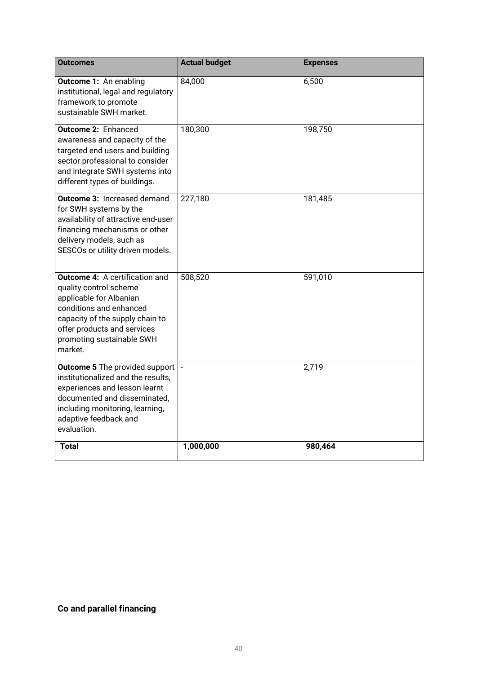| <b>Outcomes</b>                                                                                                                                                                                                                 | <b>Actual budget</b> | <b>Expenses</b> |
|---------------------------------------------------------------------------------------------------------------------------------------------------------------------------------------------------------------------------------|----------------------|-----------------|
| Outcome 1: An enabling<br>institutional, legal and regulatory<br>framework to promote<br>sustainable SWH market.                                                                                                                | 84,000               | 6,500           |
| <b>Outcome 2: Enhanced</b><br>awareness and capacity of the<br>targeted end users and building<br>sector professional to consider<br>and integrate SWH systems into<br>different types of buildings.                            | 180,300              | 198,750         |
| <b>Outcome 3: Increased demand</b><br>for SWH systems by the<br>availability of attractive end-user<br>financing mechanisms or other<br>delivery models, such as<br>SESCOs or utility driven models.                            | 227,180              | 181,485         |
| <b>Outcome 4: A certification and</b><br>quality control scheme<br>applicable for Albanian<br>conditions and enhanced<br>capacity of the supply chain to<br>offer products and services<br>promoting sustainable SWH<br>market. | 508,520              | 591,010         |
| <b>Outcome 5</b> The provided support  -<br>institutionalized and the results,<br>experiences and lesson learnt<br>documented and disseminated,<br>including monitoring, learning,<br>adaptive feedback and<br>evaluation.      |                      | 2,719           |
| <b>Total</b>                                                                                                                                                                                                                    | 1,000,000            | 980,464         |

# **Co and parallel financing**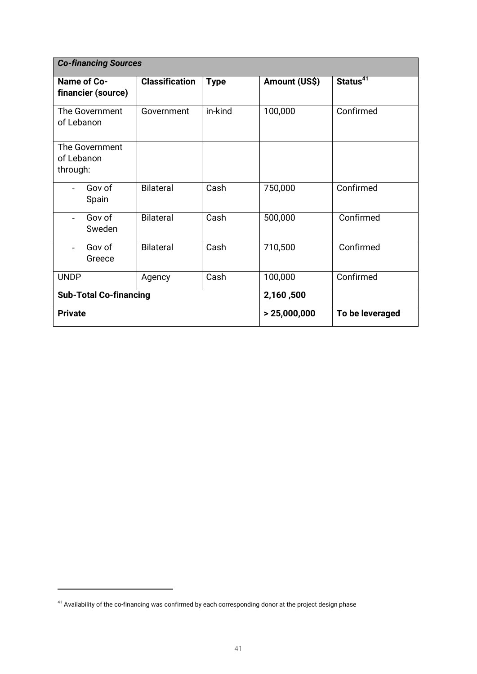| <b>Co-financing Sources</b>              |                       |             |               |                      |
|------------------------------------------|-----------------------|-------------|---------------|----------------------|
| Name of Co-<br>financier (source)        | <b>Classification</b> | <b>Type</b> | Amount (US\$) | Status <sup>41</sup> |
| The Government<br>of Lebanon             | Government            | in-kind     | 100,000       | Confirmed            |
| The Government<br>of Lebanon<br>through: |                       |             |               |                      |
| Gov of<br>Spain                          | <b>Bilateral</b>      | Cash        | 750,000       | Confirmed            |
| Gov of<br>Sweden                         | <b>Bilateral</b>      | Cash        | 500,000       | Confirmed            |
| Gov of<br>Greece                         | <b>Bilateral</b>      | Cash        | 710,500       | Confirmed            |
| <b>UNDP</b>                              | Agency                | Cash        | 100,000       | Confirmed            |
| <b>Sub-Total Co-financing</b>            |                       |             | 2,160,500     |                      |
| <b>Private</b>                           |                       |             | > 25,000,000  | To be leveraged      |

**.** 

<sup>&</sup>lt;sup>41</sup> Availability of the co-financing was confirmed by each corresponding donor at the project design phase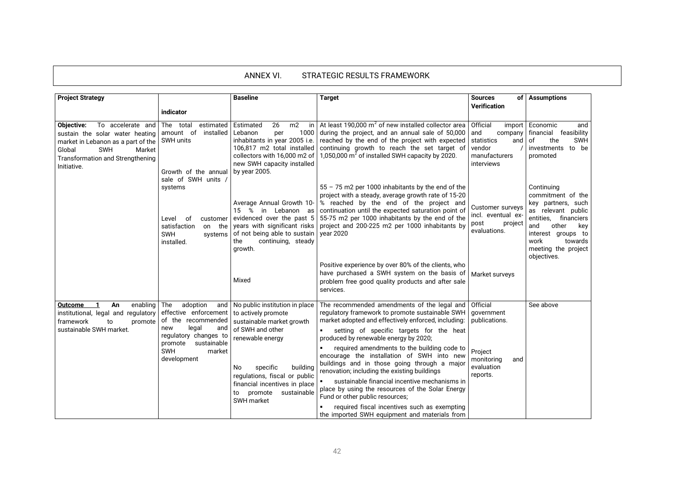| ANNEX VI.<br>STRATEGIC RESULTS FRAMEWORK |
|------------------------------------------|
|------------------------------------------|

<span id="page-41-0"></span>

| <b>Project Strategy</b>                                                                                                                                                                       |                                                                                                                                                                                 | <b>Baseline</b>                                                                                                                                                                                                                                                               | <b>Target</b>                                                                                                                                                                                                                                                                                                                                                                                                                                                                                                                                                                   | <b>Sources</b><br>Verification                                                                    | of Assumptions                                                                                                                                                                                               |
|-----------------------------------------------------------------------------------------------------------------------------------------------------------------------------------------------|---------------------------------------------------------------------------------------------------------------------------------------------------------------------------------|-------------------------------------------------------------------------------------------------------------------------------------------------------------------------------------------------------------------------------------------------------------------------------|---------------------------------------------------------------------------------------------------------------------------------------------------------------------------------------------------------------------------------------------------------------------------------------------------------------------------------------------------------------------------------------------------------------------------------------------------------------------------------------------------------------------------------------------------------------------------------|---------------------------------------------------------------------------------------------------|--------------------------------------------------------------------------------------------------------------------------------------------------------------------------------------------------------------|
|                                                                                                                                                                                               | indicator                                                                                                                                                                       |                                                                                                                                                                                                                                                                               |                                                                                                                                                                                                                                                                                                                                                                                                                                                                                                                                                                                 |                                                                                                   |                                                                                                                                                                                                              |
| Objective:<br>To accelerate and<br>sustain the solar water heating<br>market in Lebanon as a part of the<br>SWH<br>Global<br>Market<br><b>Transformation and Strengthening</b><br>Initiative. | The total<br>estimated<br>amount of<br>installed<br>SWH units<br>Growth of the annual                                                                                           | Estimated<br>26<br>m2<br>in<br>Lebanon<br>1000<br>per<br>inhabitants in year 2005 i.e.<br>106,817 m2 total installed<br>collectors with 16,000 m2 of<br>new SWH capacity installed<br>by year 2005.                                                                           | At least 190,000 $m^2$ of new installed collector area<br>during the project, and an annual sale of 50,000<br>reached by the end of the project with expected<br>continuing growth to reach the set target of<br>1,050,000 $m2$ of installed SWH capacity by 2020.                                                                                                                                                                                                                                                                                                              | Official<br>and<br>statistics<br>and<br>vendor<br>manufacturers<br>interviews                     | import Economic<br>and<br>company financial feasibility<br>the<br>l of<br>SWH<br>investments to be<br>promoted                                                                                               |
|                                                                                                                                                                                               | sale of SWH units<br>systems<br>Level<br>customer<br>оf<br>satisfaction<br>the<br>on<br><b>SWH</b><br>systems<br>installed.                                                     | Average Annual Growth 10-<br>15 % in Lebanon as<br>evidenced over the past 5<br>years with significant risks<br>of not being able to sustain<br>the<br>continuing, steady<br>growth.                                                                                          | $55 - 75$ m2 per 1000 inhabitants by the end of the<br>project with a steady, average growth rate of 15-20<br>% reached by the end of the project and<br>continuation until the expected saturation point of<br>55-75 m2 per 1000 inhabitants by the end of the<br>project and 200-225 m2 per 1000 inhabitants by<br>vear 2020                                                                                                                                                                                                                                                  | Customer surveys<br>incl. eventual ex-<br>project<br>post<br>evaluations.                         | Continuing<br>commitment of the<br>key partners, such<br>as relevant public<br>entities,<br>financiers<br>and<br>other<br>key<br>interest groups to<br>work<br>towards<br>meeting the project<br>objectives. |
|                                                                                                                                                                                               |                                                                                                                                                                                 | Mixed                                                                                                                                                                                                                                                                         | Positive experience by over 80% of the clients, who<br>have purchased a SWH system on the basis of<br>problem free good quality products and after sale<br>services.                                                                                                                                                                                                                                                                                                                                                                                                            | Market surveys                                                                                    |                                                                                                                                                                                                              |
| An<br>enabling<br><b>Outcome</b><br>institutional, legal and regulatory<br>framework<br>promote<br>to<br>sustainable SWH market.                                                              | The<br>adoption<br>effective enforcement<br>of the recommended<br>legal<br>new<br>and<br>regulatory changes to<br>sustainable<br>promote<br><b>SWH</b><br>market<br>development | and No public institution in place<br>to actively promote<br>sustainable market growth<br>of SWH and other<br>renewable energy<br>building<br>specific<br>No.<br>regulations, fiscal or public<br>financial incentives in place<br>promote<br>sustainable<br>to<br>SWH market | The recommended amendments of the legal and<br>regulatory framework to promote sustainable SWH<br>market adopted and effectively enforced, including:<br>setting of specific targets for the heat<br>produced by renewable energy by 2020;<br>required amendments to the building code to<br>encourage the installation of SWH into new<br>buildings and in those going through a major<br>renovation; including the existing buildings<br>sustainable financial incentive mechanisms in<br>place by using the resources of the Solar Energy<br>Fund or other public resources; | Official<br>government<br>publications.<br>Project<br>monitoring<br>and<br>evaluation<br>reports. | See above                                                                                                                                                                                                    |
|                                                                                                                                                                                               |                                                                                                                                                                                 | required fiscal incentives such as exempting<br>the imported SWH equipment and materials from                                                                                                                                                                                 |                                                                                                                                                                                                                                                                                                                                                                                                                                                                                                                                                                                 |                                                                                                   |                                                                                                                                                                                                              |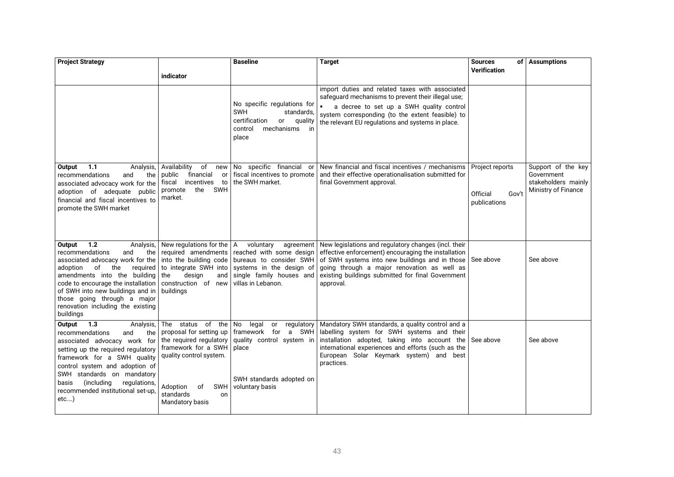| <b>Project Strategy</b>                                                                                                                                                                                                                                                                                                           |                                                                                                                                                                                          | <b>Baseline</b>                                                                                                                                             | <b>Target</b>                                                                                                                                                                                                                                                                  | <b>Sources</b><br><b>Verification</b>                | of Assumptions                                                                 |
|-----------------------------------------------------------------------------------------------------------------------------------------------------------------------------------------------------------------------------------------------------------------------------------------------------------------------------------|------------------------------------------------------------------------------------------------------------------------------------------------------------------------------------------|-------------------------------------------------------------------------------------------------------------------------------------------------------------|--------------------------------------------------------------------------------------------------------------------------------------------------------------------------------------------------------------------------------------------------------------------------------|------------------------------------------------------|--------------------------------------------------------------------------------|
|                                                                                                                                                                                                                                                                                                                                   | indicator                                                                                                                                                                                |                                                                                                                                                             |                                                                                                                                                                                                                                                                                |                                                      |                                                                                |
|                                                                                                                                                                                                                                                                                                                                   |                                                                                                                                                                                          | No specific regulations for<br><b>SWH</b><br>standards,<br>certification<br>or quality<br>mechanisms<br>control<br>in<br>place                              | import duties and related taxes with associated<br>safeguard mechanisms to prevent their illegal use;<br>$\blacksquare$<br>a decree to set up a SWH quality control<br>system corresponding (to the extent feasible) to<br>the relevant EU regulations and systems in place.   |                                                      |                                                                                |
| Output<br>1.1<br>Analysis,<br>recommendations<br>and<br>the<br>associated advocacy work for the<br>adoption of adequate public<br>financial and fiscal incentives to<br>promote the SWH market                                                                                                                                    | Availability<br>of<br>new<br>financial<br>public<br>or<br>incentives<br>to<br>fiscal<br>SWH<br>promote<br>the<br>market.                                                                 | No specific financial or<br>fiscal incentives to promote<br>the SWH market.                                                                                 | New financial and fiscal incentives / mechanisms<br>and their effective operationalisation submitted for<br>final Government approval.                                                                                                                                         | Project reports<br>Official<br>Gov't<br>publications | Support of the key<br>Government<br>stakeholders mainly<br>Ministry of Finance |
| $1.2$<br>Output<br>Analysis,<br>recommendations<br>and<br>the<br>associated advocacy work for the<br>adoption<br>0f<br>the<br>required<br>amendments into the building<br>code to encourage the installation<br>of SWH into new buildings and in<br>those going through a major<br>renovation including the existing<br>buildings | New regulations for the $\vert$ A<br>required amendments<br>into the building code<br>to integrate SWH into<br>design<br>the<br>and<br>construction of<br>new<br>buildings               | voluntary<br>agreement<br>reached with some design<br>bureaus to consider SWH<br>systems in the design of<br>single family houses and<br>villas in Lebanon. | New legislations and regulatory changes (incl. their<br>effective enforcement) encouraging the installation<br>of SWH systems into new buildings and in those<br>going through a major renovation as well as<br>existing buildings submitted for final Government<br>approval. | See above                                            | See above                                                                      |
| Output<br>1.3<br>Analysis,<br>recommendations<br>and<br>the<br>associated advocacy work for<br>setting up the required regulatory<br>framework for a SWH quality<br>control system and adoption of<br>SWH standards on mandatory<br>(including<br>regulations,<br>basis<br>recommended institutional set-up,<br>$etc$ )           | The status of the<br>proposal for setting up<br>the required regulatory<br>framework for a SWH<br>quality control system.<br>SWH<br>Adoption<br>of<br>standards<br>on<br>Mandatory basis | No<br>regulatory<br>legal<br>or<br>framework for a SWH<br>quality control system in<br>place<br>SWH standards adopted on<br>voluntary basis                 | Mandatory SWH standards, a quality control and a<br>labelling system for SWH systems and their<br>installation adopted, taking into account the See above<br>international experiences and efforts (such as the<br>European Solar Keymark system) and best<br>practices.       |                                                      | See above                                                                      |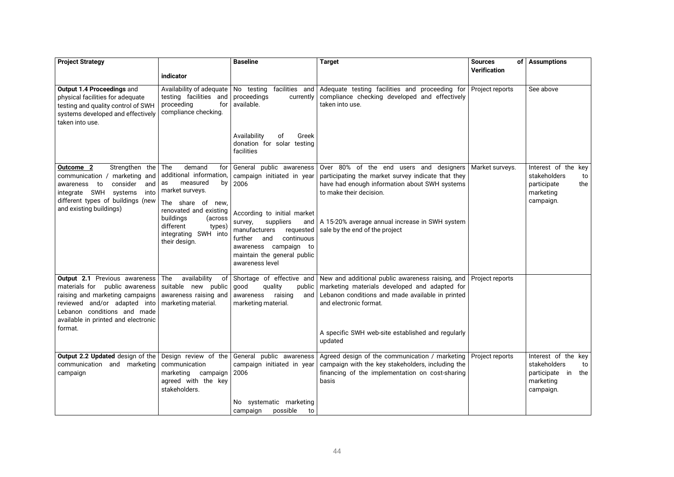| <b>Project Strategy</b>                                                                                                                                                                                                       |                                                                                                                 | <b>Baseline</b>                                                                                                                                                                                  | <b>Target</b>                                                                                                                                                                   | <b>Sources</b>  | of Assumptions                                                                               |
|-------------------------------------------------------------------------------------------------------------------------------------------------------------------------------------------------------------------------------|-----------------------------------------------------------------------------------------------------------------|--------------------------------------------------------------------------------------------------------------------------------------------------------------------------------------------------|---------------------------------------------------------------------------------------------------------------------------------------------------------------------------------|-----------------|----------------------------------------------------------------------------------------------|
|                                                                                                                                                                                                                               | indicator                                                                                                       |                                                                                                                                                                                                  |                                                                                                                                                                                 | Verification    |                                                                                              |
| Output 1.4 Proceedings and<br>physical facilities for adequate<br>testing and quality control of SWH<br>systems developed and effectively<br>taken into use.                                                                  | Availability of adequate<br>testing facilities and<br>proceeding<br>for<br>compliance checking.                 | No testing<br>facilities and<br>proceedings<br>currently<br>available.<br>Availability<br>Greek<br>of                                                                                            | Adequate testing facilities and proceeding for<br>compliance checking developed and effectively<br>taken into use.                                                              | Project reports | See above                                                                                    |
|                                                                                                                                                                                                                               |                                                                                                                 | donation for solar testing<br>facilities                                                                                                                                                         |                                                                                                                                                                                 |                 |                                                                                              |
| Outcome <sub>2</sub><br>Strengthen the<br>communication / marketing and<br>consider<br>and<br>awareness to<br>integrate SWH systems<br>into<br>different types of buildings (new                                              | The<br>demand<br>for<br>additional information,<br>measured<br>by<br>as<br>market surveys.<br>The share of new, | public awareness<br>General<br>campaign initiated in year<br>2006                                                                                                                                | Over 80% of the end users and designers<br>participating the market survey indicate that they<br>have had enough information about SWH systems<br>to make their decision.       | Market surveys. | Interest of the key<br>stakeholders<br>to<br>participate<br>the<br>marketing<br>campaign.    |
| and existing buildings)                                                                                                                                                                                                       | renovated and existing<br>buildings<br>(across<br>different<br>types)<br>integrating SWH into<br>their design.  | According to initial market<br>suppliers<br>survey,<br>and<br>manufacturers<br>requested<br>further and<br>continuous<br>awareness campaign to<br>maintain the general public<br>awareness level | A 15-20% average annual increase in SWH system<br>sale by the end of the project                                                                                                |                 |                                                                                              |
| <b>Output 2.1 Previous awareness</b><br>public awareness<br>materials for<br>raising and marketing campaigns<br>reviewed and/or adapted into<br>Lebanon conditions and made<br>available in printed and electronic<br>format. | availability<br>The<br>of<br>suitable new public<br>awareness raising and<br>marketing material.                | Shortage of effective and<br>good<br>quality<br>public<br>awareness<br>raising<br>and<br>marketing material.                                                                                     | New and additional public awareness raising, and<br>marketing materials developed and adapted for<br>Lebanon conditions and made available in printed<br>and electronic format. | Project reports |                                                                                              |
|                                                                                                                                                                                                                               |                                                                                                                 |                                                                                                                                                                                                  | A specific SWH web-site established and regularly<br>updated                                                                                                                    |                 |                                                                                              |
| Output 2.2 Updated design of the<br>communication and marketing<br>campaign                                                                                                                                                   | Design review of the<br>communication<br>marketing<br>campaign<br>agreed with the key<br>stakeholders.          | General public awareness<br>campaign initiated in year<br>2006<br>No systematic marketing                                                                                                        | Agreed design of the communication / marketing<br>campaign with the key stakeholders, including the<br>financing of the implementation on cost-sharing<br>basis                 | Project reports | Interest of the key<br>stakeholders<br>to<br>participate in<br>the<br>marketing<br>campaign. |
|                                                                                                                                                                                                                               |                                                                                                                 | possible<br>campaign<br>to                                                                                                                                                                       |                                                                                                                                                                                 |                 |                                                                                              |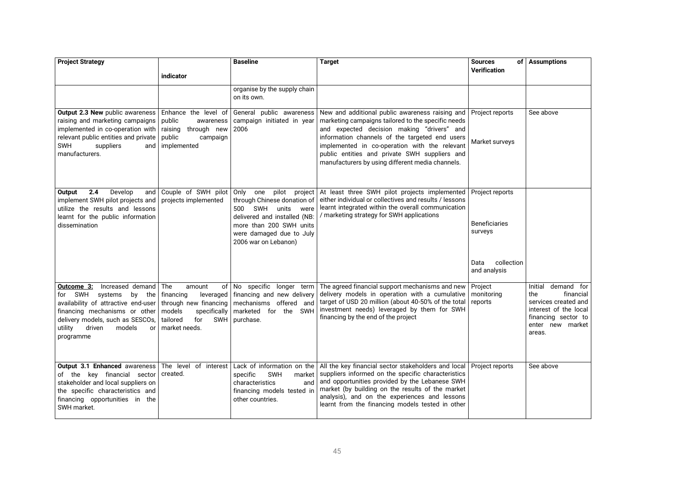| <b>Project Strategy</b>                                                                                                                                                                                                                                   |                                                                                                            | <b>Baseline</b>                                                                                                                                                                                        | <b>Target</b>                                                                                                                                                                                                                                                                                                                                               | <b>Sources</b>                                                                           | of Assumptions                                                                                                                                  |
|-----------------------------------------------------------------------------------------------------------------------------------------------------------------------------------------------------------------------------------------------------------|------------------------------------------------------------------------------------------------------------|--------------------------------------------------------------------------------------------------------------------------------------------------------------------------------------------------------|-------------------------------------------------------------------------------------------------------------------------------------------------------------------------------------------------------------------------------------------------------------------------------------------------------------------------------------------------------------|------------------------------------------------------------------------------------------|-------------------------------------------------------------------------------------------------------------------------------------------------|
|                                                                                                                                                                                                                                                           | indicator                                                                                                  |                                                                                                                                                                                                        |                                                                                                                                                                                                                                                                                                                                                             | <b>Verification</b>                                                                      |                                                                                                                                                 |
|                                                                                                                                                                                                                                                           |                                                                                                            | organise by the supply chain<br>on its own.                                                                                                                                                            |                                                                                                                                                                                                                                                                                                                                                             |                                                                                          |                                                                                                                                                 |
| Output 2.3 New public awareness<br>raising and marketing campaigns<br>implemented in co-operation with<br>relevant public entities and private<br>SWH<br>suppliers<br>and<br>manufacturers.                                                               | Enhance the level of<br>public<br>awareness<br>raising<br>through new<br>public<br>campaign<br>implemented | General public awareness<br>campaign initiated in year<br>2006                                                                                                                                         | New and additional public awareness raising and<br>marketing campaigns tailored to the specific needs<br>and expected decision making "drivers" and<br>information channels of the targeted end users<br>implemented in co-operation with the relevant<br>public entities and private SWH suppliers and<br>manufacturers by using different media channels. | Project reports<br>Market surveys                                                        | See above                                                                                                                                       |
| 2.4<br>Develop<br>Output<br>and<br>implement SWH pilot projects and<br>utilize the results and lessons<br>learnt for the public information<br>dissemination                                                                                              | Couple of SWH pilot<br>projects implemented                                                                | Only<br>one<br>pilot<br>project<br>through Chinese donation of<br>500 SWH units<br>were<br>delivered and installed (NB:<br>more than 200 SWH units<br>were damaged due to July<br>2006 war on Lebanon) | At least three SWH pilot projects implemented<br>either individual or collectives and results / lessons<br>learnt integrated within the overall communication<br>/ marketing strategy for SWH applications                                                                                                                                                  | Project reports<br><b>Beneficiaries</b><br>surveys<br>collection<br>Data<br>and analysis |                                                                                                                                                 |
| Outcome 3:<br>Increased demand<br>for SWH<br>by the<br>systems<br>availability of attractive end-user through new financing<br>financing mechanisms or other models<br>delivery models, such as SESCOs,<br>utility<br>driven<br>models<br>or<br>programme | The<br>amount<br>of<br>financing<br>leveraged<br>specifically<br>tailored<br>for<br>SWH<br>market needs.   | No specific<br>longer term<br>financing and new delivery<br>mechanisms offered and<br>marketed for the SWH<br>purchase.                                                                                | The agreed financial support mechanisms and new<br>delivery models in operation with a cumulative<br>target of USD 20 million (about 40-50% of the total<br>investment needs) leveraged by them for SWH<br>financing by the end of the project                                                                                                              | Project<br>monitoring<br>reports                                                         | Initial<br>demand for<br>financial<br>the<br>services created and<br>interest of the local<br>financing sector to<br>enter new market<br>areas. |
| Output 3.1 Enhanced awareness<br>of the key financial sector<br>stakeholder and local suppliers on<br>the specific characteristics and<br>financing opportunities in the<br>SWH market.                                                                   | The level of interest<br>created.                                                                          | Lack of information on the<br>specific<br>SWH<br>market<br>characteristics<br>and<br>financing models tested in<br>other countries.                                                                    | All the key financial sector stakeholders and local   Project reports<br>suppliers informed on the specific characteristics<br>and opportunities provided by the Lebanese SWH<br>market (by building on the results of the market<br>analysis), and on the experiences and lessons<br>learnt from the financing models tested in other                      |                                                                                          | See above                                                                                                                                       |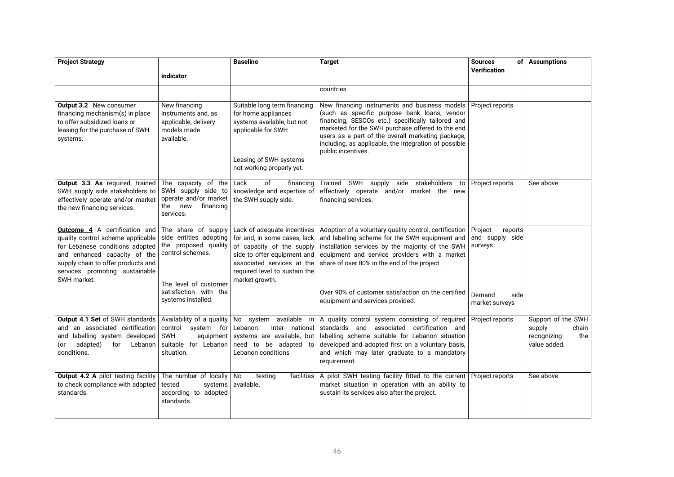| <b>Project Strategy</b>                                                                                                                                                                                                             |                                                                                                                                             | <b>Baseline</b>                                                                                                                                                                                          | <b>Target</b>                                                                                                                                                                                                                                                                                                                                                | <b>Sources</b>                                                      | of Assumptions                                                              |
|-------------------------------------------------------------------------------------------------------------------------------------------------------------------------------------------------------------------------------------|---------------------------------------------------------------------------------------------------------------------------------------------|----------------------------------------------------------------------------------------------------------------------------------------------------------------------------------------------------------|--------------------------------------------------------------------------------------------------------------------------------------------------------------------------------------------------------------------------------------------------------------------------------------------------------------------------------------------------------------|---------------------------------------------------------------------|-----------------------------------------------------------------------------|
|                                                                                                                                                                                                                                     | indicator                                                                                                                                   |                                                                                                                                                                                                          |                                                                                                                                                                                                                                                                                                                                                              | <b>Verification</b>                                                 |                                                                             |
|                                                                                                                                                                                                                                     |                                                                                                                                             |                                                                                                                                                                                                          | countries.                                                                                                                                                                                                                                                                                                                                                   |                                                                     |                                                                             |
| Output 3.2 New consumer<br>financing mechanism(s) in place<br>to offer subsidized loans or<br>leasing for the purchase of SWH<br>systems.                                                                                           | New financing<br>instruments and, as<br>applicable, delivery<br>models made<br>available.                                                   | Suitable long term financing<br>for home appliances<br>systems available, but not<br>applicable for SWH<br>Leasing of SWH systems<br>not working properly yet.                                           | New financing instruments and business models   Project reports<br>(such as specific purpose bank loans, vendor<br>financing, SESCOs etc.) specifically tailored and<br>marketed for the SWH purchase offered to the end<br>users as a part of the overall marketing package,<br>including, as applicable, the integration of possible<br>public incentives. |                                                                     |                                                                             |
| Output 3.3 As required, trained<br>SWH supply side stakeholders to<br>effectively operate and/or market<br>the new financing services.                                                                                              | The capacity of the Lack<br>SWH supply side to<br>operate and/or market<br>financing<br>new<br>the<br>services.                             | of<br>financing<br>knowledge and expertise of<br>the SWH supply side.                                                                                                                                    | SWH<br>Trained<br>supply side stakeholders to<br>effectively operate and/or market the new<br>financing services.                                                                                                                                                                                                                                            | Project reports                                                     | See above                                                                   |
| <b>Outcome 4</b> A certification and<br>quality control scheme applicable<br>for Lebanese conditions adopted<br>and enhanced capacity of the<br>supply chain to offer products and<br>services promoting sustainable<br>SWH market. | The share of supply<br>side entities adopting<br>the proposed quality<br>control schemes.<br>The level of customer<br>satisfaction with the | Lack of adequate incentives<br>for and, in some cases, lack<br>of capacity of the supply<br>side to offer equipment and<br>associated services at the<br>required level to sustain the<br>market growth. | Adoption of a voluntary quality control, certification<br>and labelling scheme for the SWH equipment and<br>installation services by the majority of the SWH<br>equipment and service providers with a market<br>share of over 80% in the end of the project.<br>Over 90% of customer satisfaction on the certified                                          | Project<br>reports<br>and supply side<br>surveys.<br>Demand<br>side |                                                                             |
|                                                                                                                                                                                                                                     | systems installed.                                                                                                                          |                                                                                                                                                                                                          | equipment and services provided.                                                                                                                                                                                                                                                                                                                             | market surveys                                                      |                                                                             |
| Output 4.1 Set of SWH standards<br>and an associated certification<br>and labelling system developed<br>adapted) for<br>Lebanon<br>(or<br>conditions.                                                                               | Availability of a quality<br>system for<br>control<br>SWH<br>equipment<br>suitable for Lebanon<br>situation.                                | No system available in<br>Lebanon.<br>Inter- national<br>systems are available, but<br>need to be adapted to<br>Lebanon conditions                                                                       | A quality control system consisting of required<br>standards and associated certification and<br>labelling scheme suitable for Lebanon situation<br>developed and adopted first on a voluntary basis,<br>and which may later graduate to a mandatory<br>requirement.                                                                                         | Project reports                                                     | Support of the SWH<br>supply<br>chain<br>recognizing<br>the<br>value added. |
| Output 4.2 A pilot testing facility<br>to check compliance with adopted<br>standards.                                                                                                                                               | The number of locally<br>tested<br>systems<br>according to adopted<br>standards.                                                            | testing<br>facilities<br>No<br>available.                                                                                                                                                                | A pilot SWH testing facility fitted to the current<br>market situation in operation with an ability to<br>sustain its services also after the project.                                                                                                                                                                                                       | Project reports                                                     | See above                                                                   |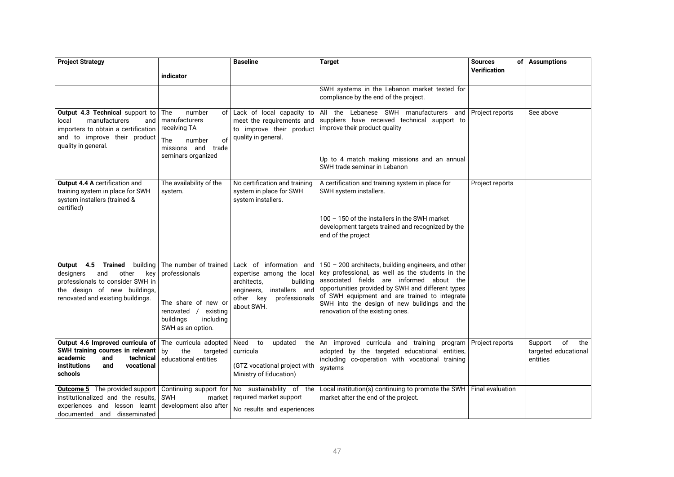| <b>Project Strategy</b>                                                                                                                                                               |                                                                                                                                      | Baseline                                                                                                                                                       | <b>Target</b>                                                                                                                                                                                                                                                                                                                                 | <b>Sources</b><br>of | <b>Assumptions</b>                                       |
|---------------------------------------------------------------------------------------------------------------------------------------------------------------------------------------|--------------------------------------------------------------------------------------------------------------------------------------|----------------------------------------------------------------------------------------------------------------------------------------------------------------|-----------------------------------------------------------------------------------------------------------------------------------------------------------------------------------------------------------------------------------------------------------------------------------------------------------------------------------------------|----------------------|----------------------------------------------------------|
|                                                                                                                                                                                       | indicator                                                                                                                            |                                                                                                                                                                |                                                                                                                                                                                                                                                                                                                                               | Verification         |                                                          |
|                                                                                                                                                                                       |                                                                                                                                      |                                                                                                                                                                | SWH systems in the Lebanon market tested for<br>compliance by the end of the project.                                                                                                                                                                                                                                                         |                      |                                                          |
| Output 4.3 Technical support to<br>manufacturers<br>local<br>and<br>importers to obtain a certification<br>and to improve their product<br>quality in general.                        | The<br>number<br>of I<br>manufacturers<br>receiving TA<br>of<br>The<br>number<br>missions and trade<br>seminars organized            | Lack of local capacity to<br>meet the requirements and<br>to improve their product<br>quality in general.                                                      | the Lebanese SWH manufacturers<br>All<br>and<br>suppliers have received technical support to<br>improve their product quality<br>Up to 4 match making missions and an annual<br>SWH trade seminar in Lebanon                                                                                                                                  | Project reports      | See above                                                |
| Output 4.4 A certification and<br>training system in place for SWH<br>system installers (trained &<br>certified)                                                                      | The availability of the<br>system.                                                                                                   | No certification and training<br>system in place for SWH<br>system installers.                                                                                 | A certification and training system in place for<br>SWH system installers.<br>100 - 150 of the installers in the SWH market                                                                                                                                                                                                                   | Project reports      |                                                          |
|                                                                                                                                                                                       |                                                                                                                                      |                                                                                                                                                                | development targets trained and recognized by the<br>end of the project                                                                                                                                                                                                                                                                       |                      |                                                          |
| Output 4.5<br><b>Trained</b><br>building<br>other<br>designers<br>and<br>key<br>professionals to consider SWH in<br>the design of new buildings,<br>renovated and existing buildings. | The number of trained<br>professionals<br>The share of new or<br>renovated / existing<br>buildings<br>including<br>SWH as an option. | Lack of information<br>and<br>expertise among the local<br>architects,<br>building<br>installers and<br>engineers,<br>professionals<br>other key<br>about SWH. | 150 - 200 architects, building engineers, and other<br>key professional, as well as the students in the<br>associated fields are informed about the<br>opportunities provided by SWH and different types<br>of SWH equipment and are trained to integrate<br>SWH into the design of new buildings and the<br>renovation of the existing ones. |                      |                                                          |
| Output 4.6 Improved curricula of<br>SWH training courses in relevant<br>academic<br>technical<br>and<br><b>institutions</b><br>and<br>vocational<br>schools                           | The curricula adopted<br>by<br>the<br>targeted<br>educational entities                                                               | $\overline{t}$<br>updated<br>Need<br>the<br>curricula<br>(GTZ vocational project with<br>Ministry of Education)                                                | An improved curricula and training<br>program<br>adopted by the targeted educational entities,<br>including co-operation with vocational training<br>systems                                                                                                                                                                                  | Project reports      | Support<br>of<br>the<br>targeted educational<br>entities |
| <b>Outcome 5</b> The provided support<br>institutionalized and the results,<br>experiences and lesson learnt<br>documented and disseminated                                           | Continuing support for<br>SWH<br>market<br>development also after                                                                    | No sustainability of the<br>required market support<br>No results and experiences                                                                              | Local institution(s) continuing to promote the SWH   Final evaluation<br>market after the end of the project.                                                                                                                                                                                                                                 |                      |                                                          |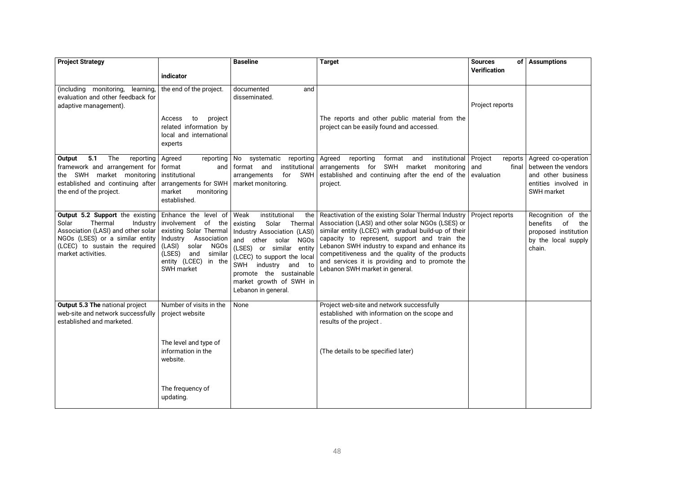| <b>Project Strategy</b>                                                                                                                                                                          |                                                                                                                                                                                                  | <b>Baseline</b>                                                                                                                                                                                                                                                                    | <b>Target</b>                                                                                                                                                                                                                                                                                                                                                                                              | <b>Sources</b><br>of l                           | <b>Assumptions</b>                                                                                     |
|--------------------------------------------------------------------------------------------------------------------------------------------------------------------------------------------------|--------------------------------------------------------------------------------------------------------------------------------------------------------------------------------------------------|------------------------------------------------------------------------------------------------------------------------------------------------------------------------------------------------------------------------------------------------------------------------------------|------------------------------------------------------------------------------------------------------------------------------------------------------------------------------------------------------------------------------------------------------------------------------------------------------------------------------------------------------------------------------------------------------------|--------------------------------------------------|--------------------------------------------------------------------------------------------------------|
|                                                                                                                                                                                                  | indicator                                                                                                                                                                                        |                                                                                                                                                                                                                                                                                    |                                                                                                                                                                                                                                                                                                                                                                                                            | Verification                                     |                                                                                                        |
| learning,<br>(including monitoring,<br>evaluation and other feedback for<br>adaptive management).                                                                                                | the end of the project.<br>project<br>Access<br>to<br>related information by<br>local and international<br>experts                                                                               | documented<br>and<br>disseminated.                                                                                                                                                                                                                                                 | The reports and other public material from the<br>project can be easily found and accessed.                                                                                                                                                                                                                                                                                                                | Project reports                                  |                                                                                                        |
| The<br>5.1<br>Output<br>reporting<br>framework and arrangement for<br>the SWH market monitoring<br>established and continuing after<br>the end of the project.                                   | Agreed<br>reporting<br>format<br>and<br>institutional<br>arrangements for SWH<br>market<br>monitoring<br>established.                                                                            | No<br>systematic<br>reporting<br>format and<br>institutional<br>for<br>SWH<br>arrangements<br>market monitoring.                                                                                                                                                                   | reporting<br>Agreed<br>format<br>and<br>institutional<br>arrangements for SWH<br>market monitoring<br>established and continuing after the end of the<br>project.                                                                                                                                                                                                                                          | Project<br>reports<br>final<br>and<br>evaluation | Agreed co-operation<br>between the vendors<br>and other business<br>entities involved in<br>SWH market |
| Output 5.2 Support the existing<br>Thermal<br>Solar<br>Industry<br>Association (LASI) and other solar<br>NGOs (LSES) or a similar entity<br>(LCEC) to sustain the required<br>market activities. | Enhance the level of<br>involvement of the<br>existing Solar Thermal<br>Industry Association<br>(LASI)<br>solar<br><b>NGOs</b><br>and<br>similar<br>(LSES)<br>entity (LCEC) in the<br>SWH market | Weak<br>institutional<br>the<br>Solar<br>Thermal<br>existing<br>Industry Association (LASI)<br>and other solar NGOs<br>(LSES) or similar entity<br>(LCEC) to support the local<br>SWH industry and to<br>promote the sustainable<br>market growth of SWH in<br>Lebanon in general. | Reactivation of the existing Solar Thermal Industry<br>Association (LASI) and other solar NGOs (LSES) or<br>similar entity (LCEC) with gradual build-up of their<br>capacity to represent, support and train the<br>Lebanon SWH industry to expand and enhance its<br>competitiveness and the quality of the products<br>and services it is providing and to promote the<br>Lebanon SWH market in general. | Project reports                                  | Recognition of the<br>benefits<br>of<br>the<br>proposed institution<br>by the local supply<br>chain.   |
| Output 5.3 The national project<br>web-site and network successfully<br>established and marketed.                                                                                                | Number of visits in the<br>project website                                                                                                                                                       | None                                                                                                                                                                                                                                                                               | Project web-site and network successfully<br>established with information on the scope and<br>results of the project.                                                                                                                                                                                                                                                                                      |                                                  |                                                                                                        |
|                                                                                                                                                                                                  | The level and type of<br>information in the<br>website.                                                                                                                                          |                                                                                                                                                                                                                                                                                    | (The details to be specified later)                                                                                                                                                                                                                                                                                                                                                                        |                                                  |                                                                                                        |
|                                                                                                                                                                                                  | The frequency of<br>updating.                                                                                                                                                                    |                                                                                                                                                                                                                                                                                    |                                                                                                                                                                                                                                                                                                                                                                                                            |                                                  |                                                                                                        |